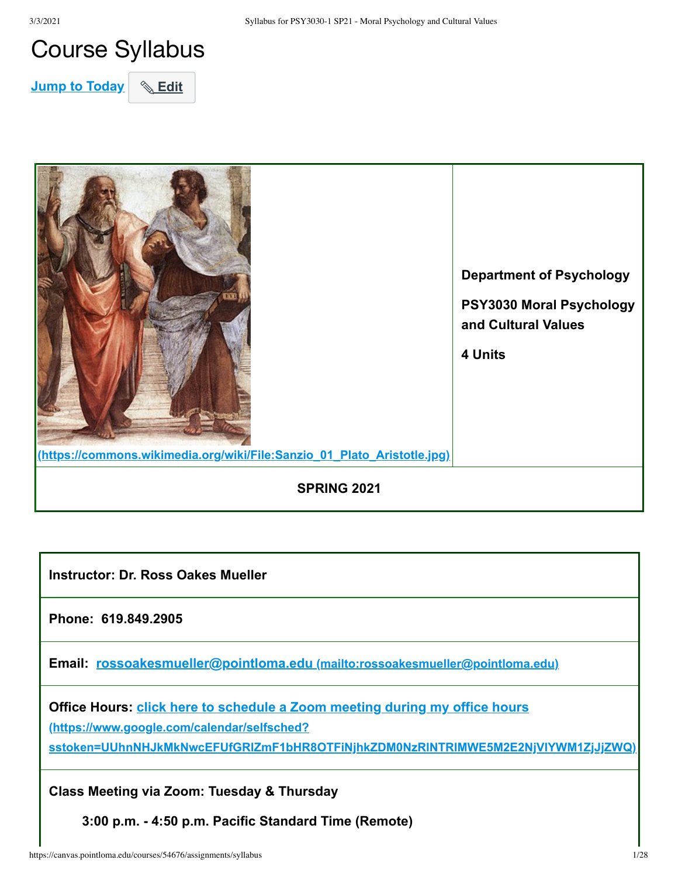## Course Syllabus

**Jump to Today** & Edit



**Instructor: Dr. Ross Oakes Mueller** 

**Phone: 619.849.2905**

**Email: rossoakesmueller@pointloma.edu [\(mailto:rossoakesmueller@pointloma.edu\)](mailto:rossoakesmueller@pointloma.edu)**

**Office Hours: click here to schedule a Zoom meeting during my office hours (https://www.google.com/calendar/selfsched? [sstoken=UUhnNHJkMkNwcEFUfGRlZmF1bHR8OTFiNjhkZDM0NzRlNTRlMWE5M2E2NjVlYWM1ZjJjZWQ\)](https://www.google.com/calendar/selfsched?sstoken=UUhnNHJkMkNwcEFUfGRlZmF1bHR8OTFiNjhkZDM0NzRlNTRlMWE5M2E2NjVlYWM1ZjJjZWQ)**

**Class Meeting via Zoom: Tuesday & Thursday**

**3:00 p.m. - 4:50 p.m. Pacific Standard Time (Remote)**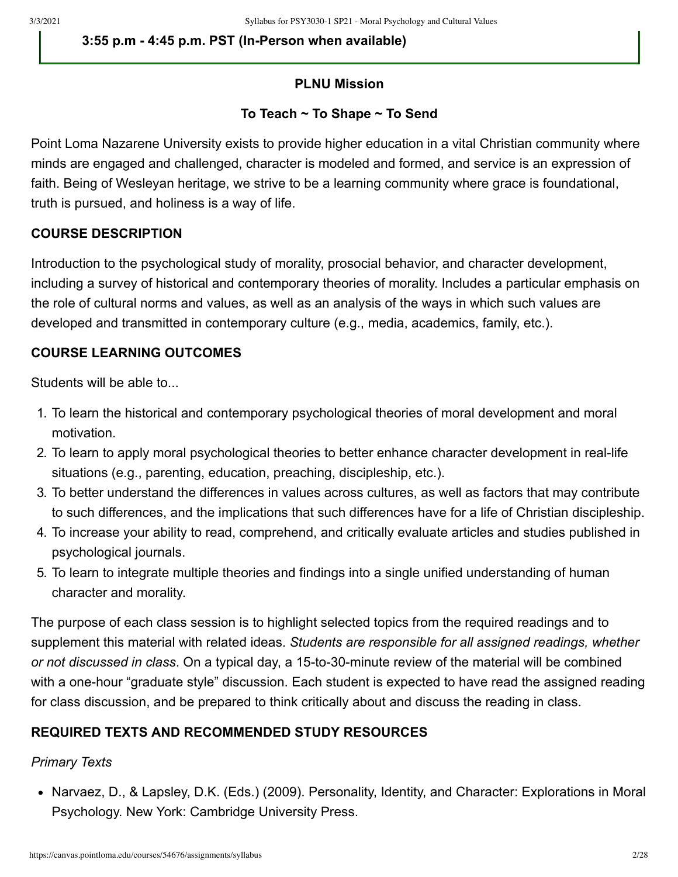**3:55 p.m - 4:45 p.m. PST (In-Person when available)**

#### **PLNU Mission**

### **To Teach ~ To Shape ~ To Send**

Point Loma Nazarene University exists to provide higher education in a vital Christian community where minds are engaged and challenged, character is modeled and formed, and service is an expression of faith. Being of Wesleyan heritage, we strive to be a learning community where grace is foundational, truth is pursued, and holiness is a way of life.

#### **COURSE DESCRIPTION**

Introduction to the psychological study of morality, prosocial behavior, and character development, including a survey of historical and contemporary theories of morality. Includes a particular emphasis on the role of cultural norms and values, as well as an analysis of the ways in which such values are developed and transmitted in contemporary culture (e.g., media, academics, family, etc.).

### **COURSE LEARNING OUTCOMES**

Students will be able to...

- 1. To learn the historical and contemporary psychological theories of moral development and moral motivation.
- 2. To learn to apply moral psychological theories to better enhance character development in real-life situations (e.g., parenting, education, preaching, discipleship, etc.).
- 3. To better understand the differences in values across cultures, as well as factors that may contribute to such differences, and the implications that such differences have for a life of Christian discipleship.
- 4. To increase your ability to read, comprehend, and critically evaluate articles and studies published in psychological journals.
- 5. To learn to integrate multiple theories and findings into a single unified understanding of human character and morality.

The purpose of each class session is to highlight selected topics from the required readings and to supplement this material with related ideas. *Students are responsible for all assigned readings, whether or not discussed in class*. On a typical day, a 15-to-30-minute review of the material will be combined with a one-hour "graduate style" discussion. Each student is expected to have read the assigned reading for class discussion, and be prepared to think critically about and discuss the reading in class.

### **REQUIRED TEXTS AND RECOMMENDED STUDY RESOURCES**

#### *Primary Texts*

• Narvaez, D., & Lapsley, D.K. (Eds.) (2009). Personality, Identity, and Character: Explorations in Moral Psychology. New York: Cambridge University Press.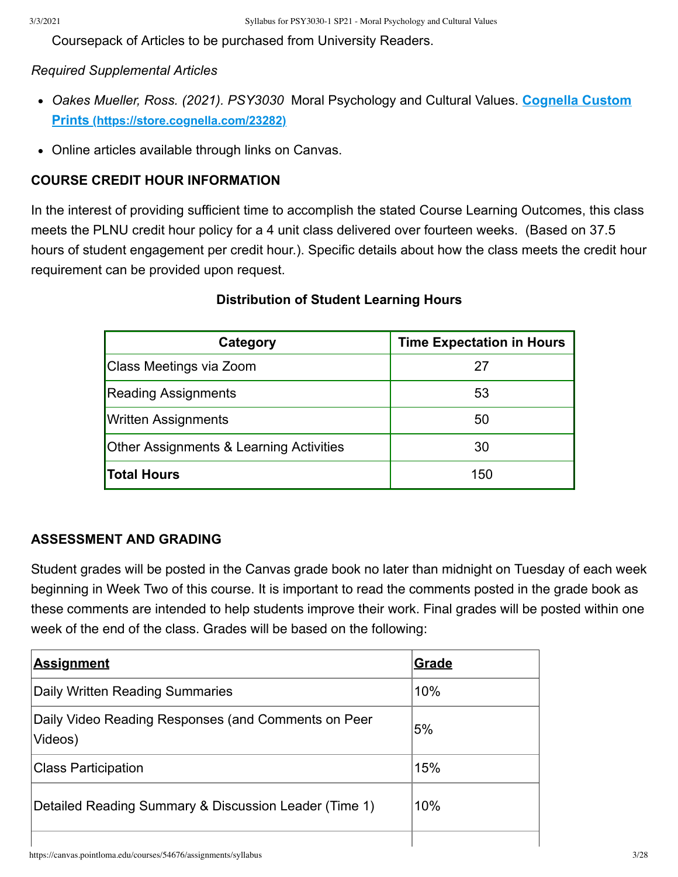Coursepack of Articles to be purchased from University Readers.

#### *Required Supplemental Articles*

- *[Oakes Mueller, Ross. \(2021\). PSY3030](https://store.cognella.com/23282)* Moral Psychology and Cultural Values. **Cognella Custom Prints (https://store.cognella.com/23282)**
- Online articles available through links on Canvas.

## **COURSE CREDIT HOUR INFORMATION**

In the interest of providing sufficient time to accomplish the stated Course Learning Outcomes, this class meets the PLNU credit hour policy for a 4 unit class delivered over fourteen weeks. (Based on 37.5 hours of student engagement per credit hour.). Specific details about how the class meets the credit hour requirement can be provided upon request.

### **Distribution of Student Learning Hours**

| Category                                           | <b>Time Expectation in Hours</b> |
|----------------------------------------------------|----------------------------------|
| Class Meetings via Zoom                            | 27                               |
| <b>Reading Assignments</b>                         | 53                               |
| Written Assignments                                | 50                               |
| <b>Other Assignments &amp; Learning Activities</b> | 30                               |
| <b>Total Hours</b>                                 | 150                              |

### **ASSESSMENT AND GRADING**

Student grades will be posted in the Canvas grade book no later than midnight on Tuesday of each week beginning in Week Two of this course. It is important to read the comments posted in the grade book as these comments are intended to help students improve their work. Final grades will be posted within one week of the end of the class. Grades will be based on the following:

| <b>Assignment</b>                                              | Grade |
|----------------------------------------------------------------|-------|
| Daily Written Reading Summaries                                | 10%   |
| Daily Video Reading Responses (and Comments on Peer<br>Videos) | 5%    |
| <b>Class Participation</b>                                     | 15%   |
| Detailed Reading Summary & Discussion Leader (Time 1)          | 10%   |
|                                                                |       |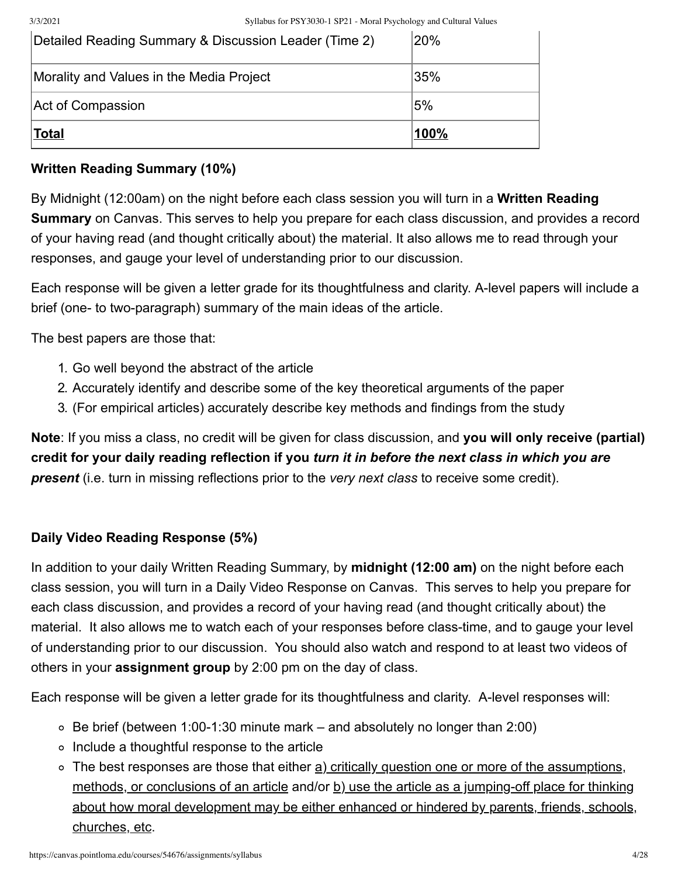3/3/2021 Syllabus for PSY3030-1 SP21 - Moral Psychology and Cultural Values

| <u> Total</u>                                         | <u> 100%</u> |
|-------------------------------------------------------|--------------|
| Act of Compassion                                     | 5%           |
| Morality and Values in the Media Project              | 35%          |
| Detailed Reading Summary & Discussion Leader (Time 2) | 20%          |

## **Written Reading Summary (10%)**

By Midnight (12:00am) on the night before each class session you will turn in a **Written Reading Summary** on Canvas. This serves to help you prepare for each class discussion, and provides a record of your having read (and thought critically about) the material. It also allows me to read through your responses, and gauge your level of understanding prior to our discussion.

Each response will be given a letter grade for its thoughtfulness and clarity. A-level papers will include a brief (one- to two-paragraph) summary of the main ideas of the article.

The best papers are those that:

- 1. Go well beyond the abstract of the article
- 2. Accurately identify and describe some of the key theoretical arguments of the paper
- 3. (For empirical articles) accurately describe key methods and findings from the study

**Note**: If you miss a class, no credit will be given for class discussion, and **you will only receive (partial) credit for your daily reading reflection if you** *turn it in before the next class in which you are present* (i.e. turn in missing reflections prior to the *very next class* to receive some credit).

## **Daily Video Reading Response (5%)**

In addition to your daily Written Reading Summary, by **midnight (12:00 am)** on the night before each class session, you will turn in a Daily Video Response on Canvas. This serves to help you prepare for each class discussion, and provides a record of your having read (and thought critically about) the material. It also allows me to watch each of your responses before class-time, and to gauge your level of understanding prior to our discussion. You should also watch and respond to at least two videos of others in your **assignment group** by 2:00 pm on the day of class.

Each response will be given a letter grade for its thoughtfulness and clarity. A-level responses will:

- $\circ$  Be brief (between 1:00-1:30 minute mark and absolutely no longer than 2:00)
- Include a thoughtful response to the article
- o The best responses are those that either a) critically question one or more of the assumptions, methods, or conclusions of an article and/or  $\underline{b}$ ) use the article as a jumping-off place for thinking about how moral development may be either enhanced or hindered by parents, friends, schools, churches, etc.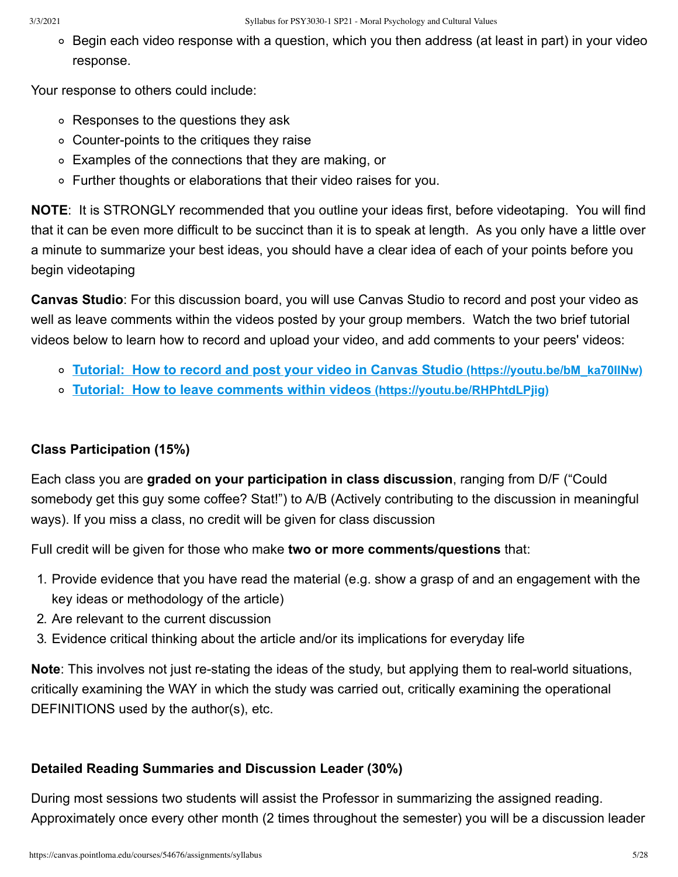$\circ$  Begin each video response with a question, which you then address (at least in part) in your video response.

Your response to others could include:

- Responses to the questions they ask
- Counter-points to the critiques they raise
- Examples of the connections that they are making, or
- Further thoughts or elaborations that their video raises for you.

**NOTE**: It is STRONGLY recommended that you outline your ideas first, before videotaping. You will find that it can be even more difficult to be succinct than it is to speak at length. As you only have a little over a minute to summarize your best ideas, you should have a clear idea of each of your points before you begin videotaping

**Canvas Studio**: For this discussion board, you will use Canvas Studio to record and post your video as well as leave comments within the videos posted by your group members. Watch the two brief tutorial videos below to learn how to record and upload your video, and add comments to your peers' videos:

- **[Tutorial: How to record and post your video in Canvas Studio](https://youtu.be/bM_ka70IINw) (https://youtu.be/bM\_ka70IINw)**
- **[Tutorial: How to leave comments within videos](https://youtu.be/RHPhtdLPjig) (https://youtu.be/RHPhtdLPjig)**

## **Class Participation (15%)**

Each class you are **graded on your participation in class discussion**, ranging from D/F ("Could somebody get this guy some coffee? Stat!") to A/B (Actively contributing to the discussion in meaningful ways). If you miss a class, no credit will be given for class discussion

Full credit will be given for those who make **two or more comments/questions** that:

- 1. Provide evidence that you have read the material (e.g. show a grasp of and an engagement with the key ideas or methodology of the article)
- 2. Are relevant to the current discussion
- 3. Evidence critical thinking about the article and/or its implications for everyday life

**Note**: This involves not just re-stating the ideas of the study, but applying them to real-world situations, critically examining the WAY in which the study was carried out, critically examining the operational DEFINITIONS used by the author(s), etc.

## **Detailed Reading Summaries and Discussion Leader (30%)**

During most sessions two students will assist the Professor in summarizing the assigned reading. Approximately once every other month (2 times throughout the semester) you will be a discussion leader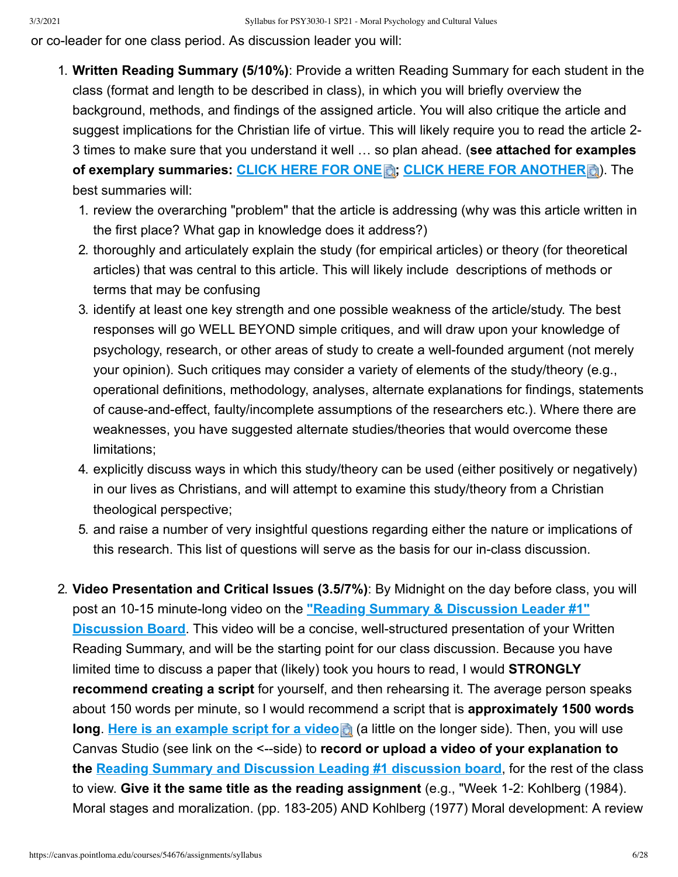or co-leader for one class period. As discussion leader you will:

- 1. **Written Reading Summary (5/10%)**: Provide a written Reading Summary for each student in the class (format and length to be described in class), in which you will briefly overview the background, methods, and findings of the assigned article. You will also critique the article and suggest implications for the Christian life of virtue. This will likely require you to read the article 2- 3 times to make sure that you understand it well … so plan ahead. (**see attached for examples of exemplary summaries: [CLICK HERE FOR ONE](https://canvas.pointloma.edu/courses/54676/files/4035046/download?wrap=1) [;](https://canvas.pointloma.edu/courses/54676/files/4035046/download?wrap=1) [CLICK HERE FOR ANOTHER](https://canvas.pointloma.edu/courses/54676/files/4035035/download?wrap=1)** ). The best summaries will:
	- 1. review the overarching "problem" that the article is addressing (why was this article written in the first place? What gap in knowledge does it address?)
	- 2. thoroughly and articulately explain the study (for empirical articles) or theory (for theoretical articles) that was central to this article. This will likely include descriptions of methods or terms that may be confusing
	- 3. identify at least one key strength and one possible weakness of the article/study. The best responses will go WELL BEYOND simple critiques, and will draw upon your knowledge of psychology, research, or other areas of study to create a well-founded argument (not merely your opinion). Such critiques may consider a variety of elements of the study/theory (e.g., operational definitions, methodology, analyses, alternate explanations for findings, statements of cause-and-effect, faulty/incomplete assumptions of the researchers etc.). Where there are weaknesses, you have suggested alternate studies/theories that would overcome these limitations;
	- 4. explicitly discuss ways in which this study/theory can be used (either positively or negatively) in our lives as Christians, and will attempt to examine this study/theory from a Christian theological perspective;
	- 5. and raise a number of very insightful questions regarding either the nature or implications of this research. This list of questions will serve as the basis for our in-class discussion.
- 2. **Video Presentation and Critical Issues (3.5/7%)**: By Midnight on the day before class, you will post an 10-15 minute-long video on the **"Reading Summary & Discussion Leader #1" Discussion Board**[. This video will be a concise, well-structured presentation of your Wri](https://canvas.pointloma.edu/courses/54676/discussion_topics/336538)tten Reading Summary, and will be the starting point for our class discussion. Because you have limited time to discuss a paper that (likely) took you hours to read, I would **STRONGLY recommend creating a script** for yourself, and then rehearsing it. The average person speaks about 150 words per minute, so I would recommend a script that is **approximately 1500 words long**. [Here is an example script for a video](https://canvas.pointloma.edu/courses/54676/files/4122473?wrap=1) **(b)** (a little on the longer side). Then, you will use Canvas Studio (see link on the <--side) to **record or upload a video of your explanation to the [Reading Summary and Discussion Leading #1 discussion board](https://canvas.pointloma.edu/courses/54676/discussion_topics/336538)**, for the rest of the class to view. **Give it the same title as the reading assignment** (e.g., "Week 1-2: Kohlberg (1984). Moral stages and moralization. (pp. 183-205) AND Kohlberg (1977) Moral development: A review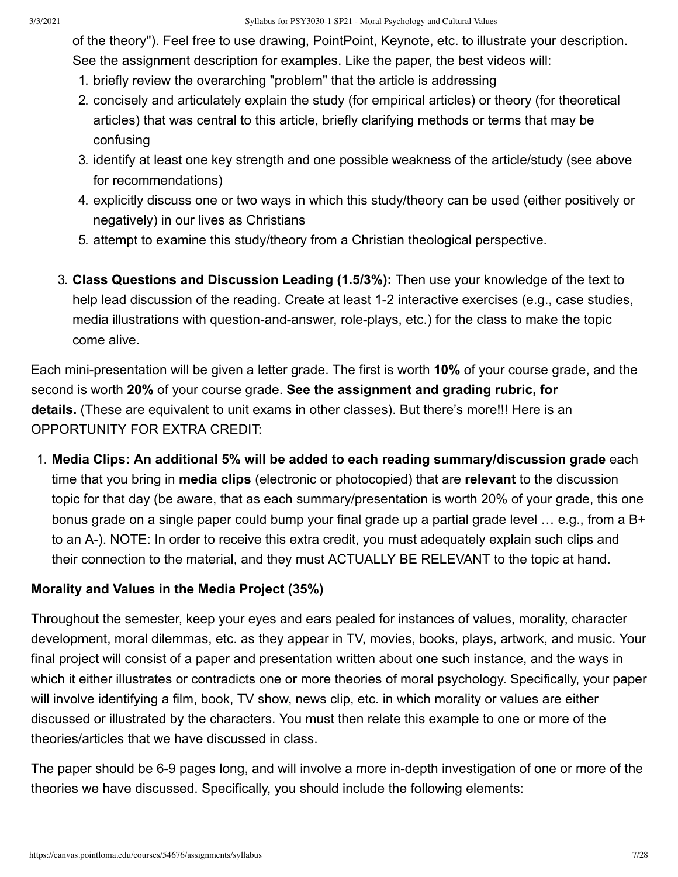of the theory"). Feel free to use drawing, PointPoint, Keynote, etc. to illustrate your description. See the assignment description for examples. Like the paper, the best videos will:

- 1. briefly review the overarching "problem" that the article is addressing
- 2. concisely and articulately explain the study (for empirical articles) or theory (for theoretical articles) that was central to this article, briefly clarifying methods or terms that may be confusing
- 3. identify at least one key strength and one possible weakness of the article/study (see above for recommendations)
- 4. explicitly discuss one or two ways in which this study/theory can be used (either positively or negatively) in our lives as Christians
- 5. attempt to examine this study/theory from a Christian theological perspective.
- 3. **Class Questions and Discussion Leading (1.5/3%):** Then use your knowledge of the text to help lead discussion of the reading. Create at least 1-2 interactive exercises (e.g., case studies, media illustrations with question-and-answer, role-plays, etc.) for the class to make the topic come alive.

Each mini-presentation will be given a letter grade. The first is worth **10%** of your course grade, and the second is worth **20%** of your course grade. **See the assignment and grading rubric, for details.** (These are equivalent to unit exams in other classes). But there's more!!! Here is an OPPORTUNITY FOR EXTRA CREDIT:

1. **Media Clips: An additional 5% will be added to each reading summary/discussion grade** each time that you bring in **media clips** (electronic or photocopied) that are **relevant** to the discussion topic for that day (be aware, that as each summary/presentation is worth 20% of your grade, this one bonus grade on a single paper could bump your final grade up a partial grade level ... e.g., from a B+ to an A-). NOTE: In order to receive this extra credit, you must adequately explain such clips and their connection to the material, and they must ACTUALLY BE RELEVANT to the topic at hand.

### **Morality and Values in the Media Project (35%)**

Throughout the semester, keep your eyes and ears pealed for instances of values, morality, character development, moral dilemmas, etc. as they appear in TV, movies, books, plays, artwork, and music. Your final project will consist of a paper and presentation written about one such instance, and the ways in which it either illustrates or contradicts one or more theories of moral psychology. Specifically, your paper will involve identifying a film, book, TV show, news clip, etc. in which morality or values are either discussed or illustrated by the characters. You must then relate this example to one or more of the theories/articles that we have discussed in class.

The paper should be 6-9 pages long, and will involve a more in-depth investigation of one or more of the theories we have discussed. Specifically, you should include the following elements: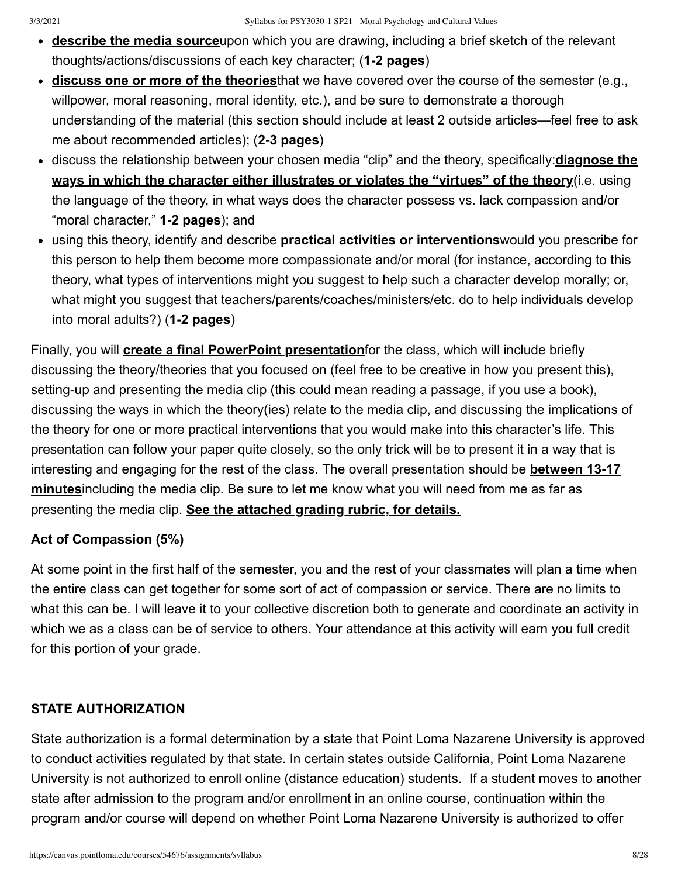- **describe the media source**upon which you are drawing, including a brief sketch of the relevant thoughts/actions/discussions of each key character; (**1-2 pages**)
- **discuss one or more of the theories**that we have covered over the course of the semester (e.g., willpower, moral reasoning, moral identity, etc.), and be sure to demonstrate a thorough understanding of the material (this section should include at least 2 outside articles—feel free to ask me about recommended articles); (**2-3 pages**)
- discuss the relationship between your chosen media "clip" and the theory, specifically:**diagnose the ways in which the character either illustrates or violates the "virtues" of the theory**(i.e. using the language of the theory, in what ways does the character possess vs. lack compassion and/or "moral character," **1-2 pages**); and
- using this theory, identify and describe **practical activities or interventions**would you prescribe for this person to help them become more compassionate and/or moral (for instance, according to this theory, what types of interventions might you suggest to help such a character develop morally; or, what might you suggest that teachers/parents/coaches/ministers/etc. do to help individuals develop into moral adults?) (**1-2 pages**)

Finally, you will **create a final PowerPoint presentation**for the class, which will include briefly discussing the theory/theories that you focused on (feel free to be creative in how you present this), setting-up and presenting the media clip (this could mean reading a passage, if you use a book), discussing the ways in which the theory(ies) relate to the media clip, and discussing the implications of the theory for one or more practical interventions that you would make into this character's life. This presentation can follow your paper quite closely, so the only trick will be to present it in a way that is interesting and engaging for the rest of the class. The overall presentation should be **between 13-17 minutes**including the media clip. Be sure to let me know what you will need from me as far as presenting the media clip. **See the attached grading rubric, for details.**

## **Act of Compassion (5%)**

At some point in the first half of the semester, you and the rest of your classmates will plan a time when the entire class can get together for some sort of act of compassion or service. There are no limits to what this can be. I will leave it to your collective discretion both to generate and coordinate an activity in which we as a class can be of service to others. Your attendance at this activity will earn you full credit for this portion of your grade.

## **STATE AUTHORIZATION**

State authorization is a formal determination by a state that Point Loma Nazarene University is approved to conduct activities regulated by that state. In certain states outside California, Point Loma Nazarene University is not authorized to enroll online (distance education) students. If a student moves to another state after admission to the program and/or enrollment in an online course, continuation within the program and/or course will depend on whether Point Loma Nazarene University is authorized to offer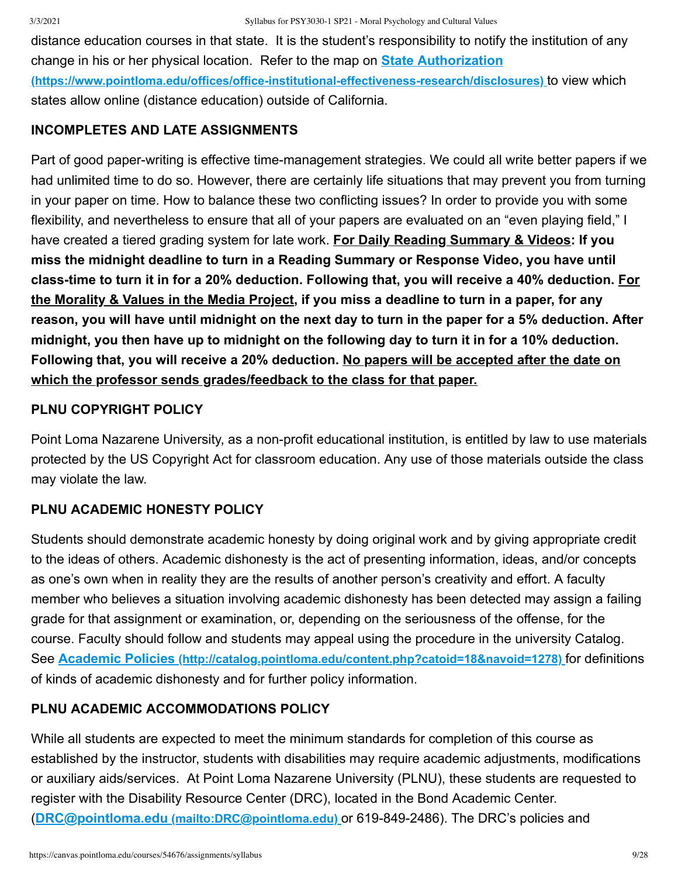distance education courses in that state. It is the student's responsibility to notify the institution of any change in his or her physical location. Refer to the map on **State Authorization [\(https://www.pointloma.edu/offices/office-institutional-effectiveness-research/disclosures\)](https://www.pointloma.edu/offices/office-institutional-effectiveness-research/disclosures)** to view which states allow online (distance education) outside of California.

## **INCOMPLETES AND LATE ASSIGNMENTS**

Part of good paper-writing is effective time-management strategies. We could all write better papers if we had unlimited time to do so. However, there are certainly life situations that may prevent you from turning in your paper on time. How to balance these two conflicting issues? In order to provide you with some flexibility, and nevertheless to ensure that all of your papers are evaluated on an "even playing field," I have created a tiered grading system for late work. **For Daily Reading Summary & Videos: If you miss the midnight deadline to turn in a Reading Summary or Response Video, you have until class-time to turn it in for a 20% deduction. Following that, you will receive a 40% deduction. For the Morality & Values in the Media Project, if you miss a deadline to turn in a paper, for any reason, you will have until midnight on the next day to turn in the paper for a 5% deduction. After midnight, you then have up to midnight on the following day to turn it in for a 10% deduction. Following that, you will receive a 20% deduction. No papers will be accepted after the date on which the professor sends grades/feedback to the class for that paper.**

## **PLNU COPYRIGHT POLICY**

Point Loma Nazarene University, as a non-profit educational institution, is entitled by law to use materials protected by the US Copyright Act for classroom education. Any use of those materials outside the class may violate the law.

## **PLNU ACADEMIC HONESTY POLICY**

Students should demonstrate academic honesty by doing original work and by giving appropriate credit to the ideas of others. Academic dishonesty is the act of presenting information, ideas, and/or concepts as one's own when in reality they are the results of another person's creativity and effort. A faculty member who believes a situation involving academic dishonesty has been detected may assign a failing grade for that assignment or examination, or, depending on the seriousness of the offense, for the course. Faculty should follow and students may appeal using the procedure in the university Catalog. See **Academic Policies [\(http://catalog.pointloma.edu/content.php?catoid=18&navoid=1278\)](http://catalog.pointloma.edu/content.php?catoid=18&navoid=1278)** for definitions of kinds of academic dishonesty and for further policy information.

## **PLNU ACADEMIC ACCOMMODATIONS POLICY**

While all students are expected to meet the minimum standards for completion of this course as established by the instructor, students with disabilities may require academic adjustments, modifications or auxiliary aids/services. At Point Loma Nazarene University (PLNU), these students are requested to register with the Disability Resource Center (DRC), located in the Bond Academic Center. (**DRC@pointloma.edu [\(mailto:DRC@pointloma.edu\)](mailto:DRC@pointloma.edu)** or 619-849-2486). The DRC's policies and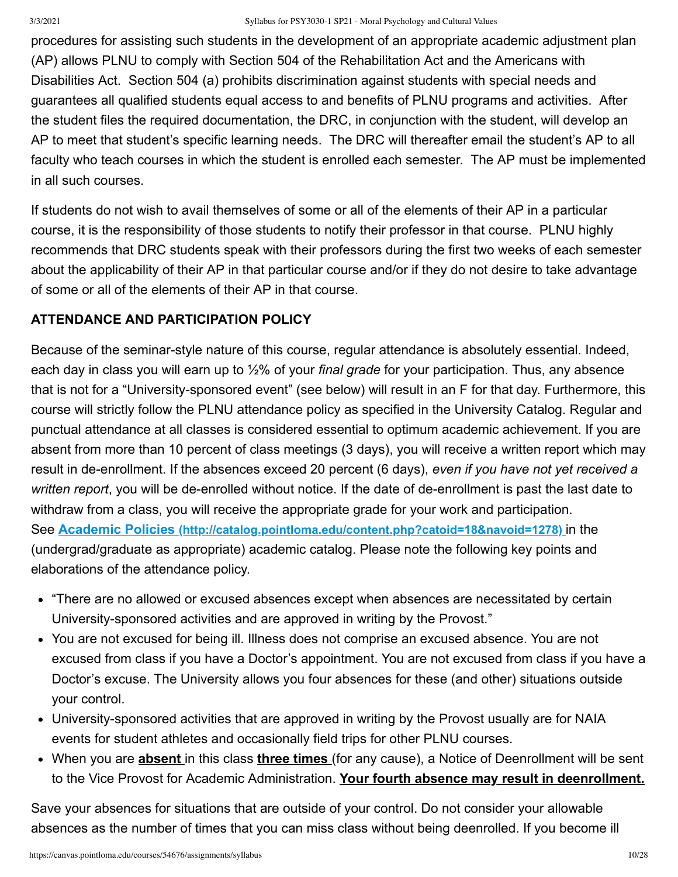procedures for assisting such students in the development of an appropriate academic adjustment plan (AP) allows PLNU to comply with Section 504 of the Rehabilitation Act and the Americans with Disabilities Act. Section 504 (a) prohibits discrimination against students with special needs and guarantees all qualified students equal access to and benefits of PLNU programs and activities. After the student files the required documentation, the DRC, in conjunction with the student, will develop an AP to meet that student's specific learning needs. The DRC will thereafter email the student's AP to all faculty who teach courses in which the student is enrolled each semester. The AP must be implemented in all such courses.

If students do not wish to avail themselves of some or all of the elements of their AP in a particular course, it is the responsibility of those students to notify their professor in that course. PLNU highly recommends that DRC students speak with their professors during the first two weeks of each semester about the applicability of their AP in that particular course and/or if they do not desire to take advantage of some or all of the elements of their AP in that course.

## **ATTENDANCE AND PARTICIPATION POLICY**

Because of the seminar-style nature of this course, regular attendance is absolutely essential. Indeed, each day in class you will earn up to ½% of your *final grade* for your participation. Thus, any absence that is not for a "University-sponsored event" (see below) will result in an F for that day. Furthermore, this course will strictly follow the PLNU attendance policy as specified in the University Catalog. Regular and punctual attendance at all classes is considered essential to optimum academic achievement. If you are absent from more than 10 percent of class meetings (3 days), you will receive a written report which may result in de-enrollment. If the absences exceed 20 percent (6 days), *even if you have not yet received a written report*, you will be de-enrolled without notice. If the date of de-enrollment is past the last date to withdraw from a class, you will receive the appropriate grade for your work and participation. See **Academic Policies [\(http://catalog.pointloma.edu/content.php?catoid=18&navoid=1278\)](http://catalog.pointloma.edu/content.php?catoid=18&navoid=1278)** in the (undergrad/graduate as appropriate) academic catalog. Please note the following key points and elaborations of the attendance policy.

- "There are no allowed or excused absences except when absences are necessitated by certain University-sponsored activities and are approved in writing by the Provost."
- You are not excused for being ill. Illness does not comprise an excused absence. You are not excused from class if you have a Doctor's appointment. You are not excused from class if you have a Doctor's excuse. The University allows you four absences for these (and other) situations outside your control.
- University-sponsored activities that are approved in writing by the Provost usually are for NAIA events for student athletes and occasionally field trips for other PLNU courses.
- When you are **absent** in this class **three times** (for any cause), a Notice of Deenrollment will be sent to the Vice Provost for Academic Administration. **Your fourth absence may result in deenrollment.**

Save your absences for situations that are outside of your control. Do not consider your allowable absences as the number of times that you can miss class without being deenrolled. If you become ill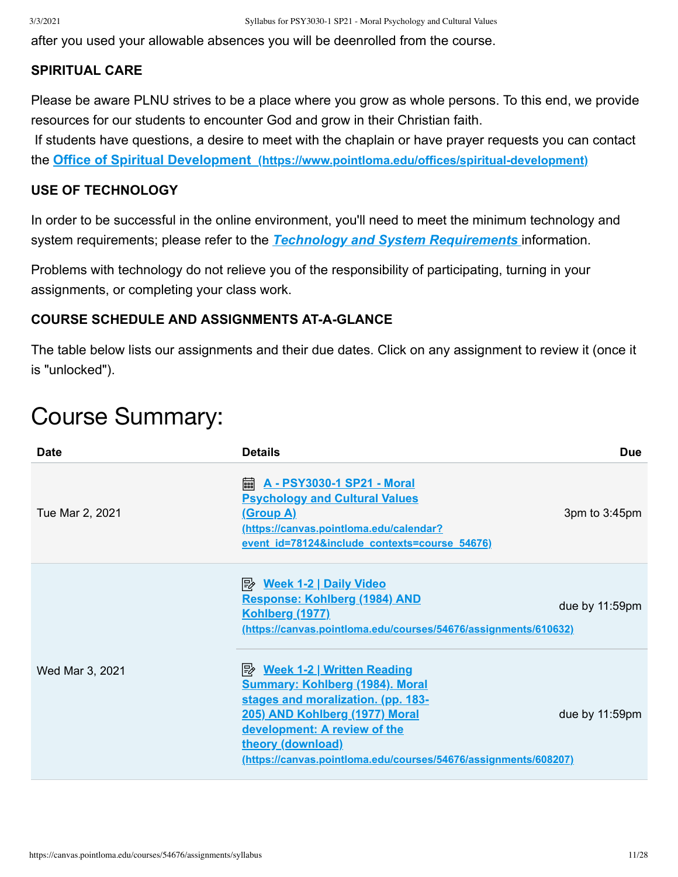after you used your allowable absences you will be deenrolled from the course.

#### **SPIRITUAL CARE**

Please be aware PLNU strives to be a place where you grow as whole persons. To this end, we provide resources for our students to encounter God and grow in their Christian faith.

 If students have questions, a desire to meet with the chaplain or have prayer requests you can contact the **Office of Spiritual Development [\(https://www.pointloma.edu/offices/spiritual-development\)](https://www.pointloma.edu/offices/spiritual-development)**

#### **USE OF TECHNOLOGY**

In order to be successful in the online environment, you'll need to meet the minimum technology and system requirements; please refer to the *[Technology and System Requirements](https://canvas.pointloma.edu/courses/51315/pages/technology-and-system-requirements)* information.

Problems with technology do not relieve you of the responsibility of participating, turning in your assignments, or completing your class work.

## **COURSE SCHEDULE AND ASSIGNMENTS AT-A-GLANCE**

The table below lists our assignments and their due dates. Click on any assignment to review it (once it is "unlocked").

# Course Summary:

| <b>Date</b>     | <b>Details</b>                                                                                                                                                                                                                                                              | Due               |
|-----------------|-----------------------------------------------------------------------------------------------------------------------------------------------------------------------------------------------------------------------------------------------------------------------------|-------------------|
| Tue Mar 2, 2021 | <u>A - PSY3030-1 SP21 - Moral</u><br>翩<br><b>Psychology and Cultural Values</b><br><u>(Group A)</u><br>(https://canvas.pointloma.edu/calendar?<br>event id=78124&include contexts=course 54676)                                                                             | 3pm to 3:45pm     |
|                 | <u>≫ Week 1-2   Daily Video</u><br>Response: Kohlberg (1984) AND<br><u>Kohlberg (1977)</u><br>(https://canvas.pointloma.edu/courses/54676/assignments/610632)                                                                                                               | due by $11:59$ pm |
| Wed Mar 3, 2021 | <b>Week 1-2   Written Reading</b><br><b>Summary: Kohlberg (1984). Moral</b><br>stages and moralization. (pp. 183-<br>205) AND Kohlberg (1977) Moral<br>development: A review of the<br>theory (download)<br>(https://canvas.pointloma.edu/courses/54676/assignments/608207) | due by $11:59$ pm |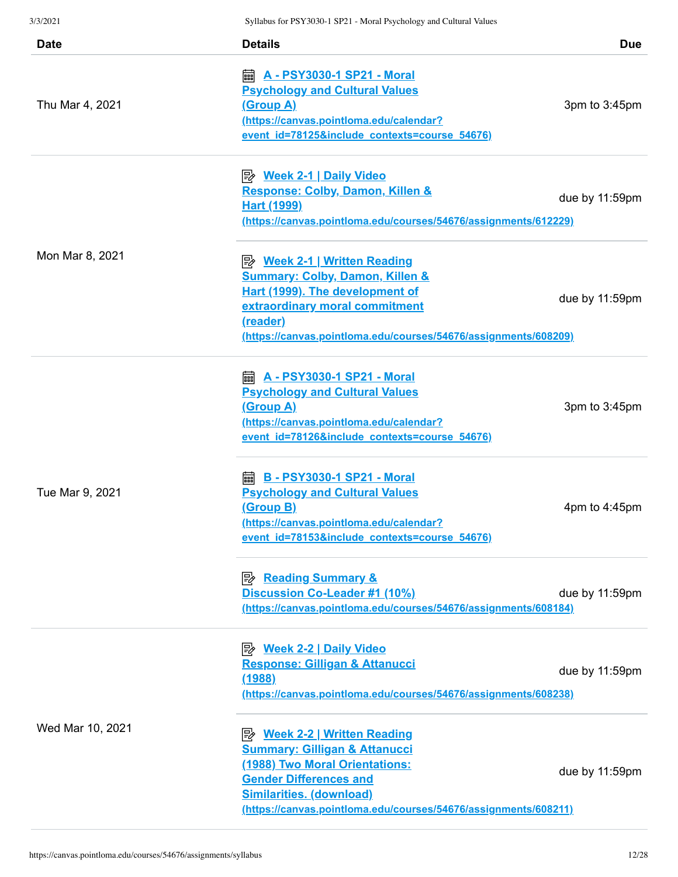| <i>31 31 4</i> 9 4 1                       | $\beta$ ynabus for 1.9.1.90.90-1.91.21 - folorar Fsychology and Cultural Values                                                                                                                                           |                   |
|--------------------------------------------|---------------------------------------------------------------------------------------------------------------------------------------------------------------------------------------------------------------------------|-------------------|
| <b>Date</b>                                | <b>Details</b>                                                                                                                                                                                                            | <b>Due</b>        |
| Thu Mar 4, 2021                            | <u> A - PSY3030-1 SP21 - Moral</u><br>翩<br><b>Psychology and Cultural Values</b><br><u>(Group A)</u><br>(https://canvas.pointloma.edu/calendar?<br>event id=78125&include contexts=course 54676)                          | 3pm to 3:45pm     |
| Hart (1999)<br>Mon Mar 8, 2021<br>(reader) | <u>≫ Week 2-1   Daily Video</u><br>Response: Colby, Damon, Killen &<br>(https://canvas.pointloma.edu/courses/54676/assignments/612229)                                                                                    | due by $11:59$ pm |
|                                            | <b>B</b> Week 2-1   Written Reading<br><b>Summary: Colby, Damon, Killen &amp;</b><br>Hart (1999). The development of<br>extraordinary moral commitment<br>(https://canvas.pointloma.edu/courses/54676/assignments/608209) | due by $11:59$ pm |
| Tue Mar 9, 2021                            | <b>A</b> - PSY3030-1 SP21 - Moral<br><b>Psychology and Cultural Values</b><br><u>(Group A)</u><br>(https://canvas.pointloma.edu/calendar?<br>event id=78126&include contexts=course 54676)                                | 3pm to 3:45pm     |
|                                            | <b>B - PSY3030-1 SP21 - Moral</b><br>翩<br><b>Psychology and Cultural Values</b><br>(Group B)<br>(https://canvas.pointloma.edu/calendar?<br>event id=78153&include contexts=course 54676)                                  | 4pm to $4:45$ pm  |
|                                            | Discussion Co-Leader #1 (10%)<br>(https://canvas.pointloma.edu/courses/54676/assignments/608184)                                                                                                                          | due by 11:59pm    |
| Wed Mar 10, 2021                           | <u>≫ Week 2-2   Daily Video</u><br><b>Response: Gilligan &amp; Attanucci</b><br><u>(1988)</u><br>(https://canvas.pointloma.edu/courses/54676/assignments/608238)                                                          | due by 11:59pm    |
|                                            | <b>Summary: Gilligan &amp; Attanucci</b><br>(1988) Two Moral Orientations:<br><b>Gender Differences and</b><br><b>Similarities. (download)</b><br>(https://canvas.pointloma.edu/courses/54676/assignments/608211)         | due by 11:59pm    |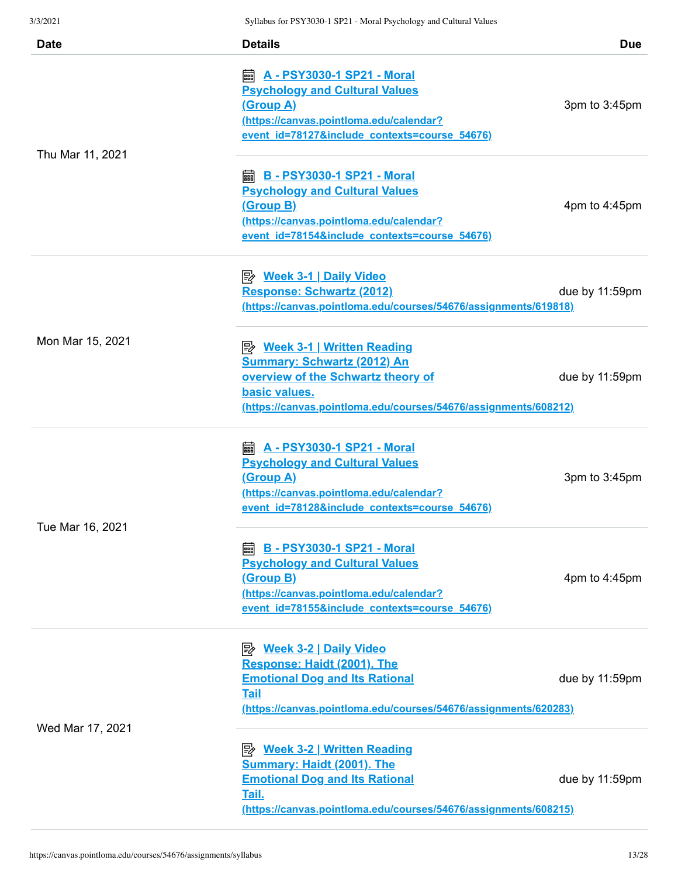| <b>Date</b>      | <b>Details</b>                                                                                                                                                                                    | <b>Due</b>       |
|------------------|---------------------------------------------------------------------------------------------------------------------------------------------------------------------------------------------------|------------------|
| Thu Mar 11, 2021 | <b>A</b> - PSY3030-1 SP21 - Moral<br><b>Psychology and Cultural Values</b><br><u>(Group A)</u><br>https://canvas.pointloma.edu/calendar?<br>event id=78127&include contexts=course 54676)         | 3pm to 3:45pm    |
|                  | <b> B</b> - PSY3030-1 SP21 - Moral<br><b>Psychology and Cultural Values</b><br><u>(Group B)</u><br>(https://canvas.pointloma.edu/calendar?<br>event id=78154&include contexts=course 54676)       | 4pm to $4:45$ pm |
|                  | <u>≫ Week 3-1   Daily Video</u><br>Response: Schwartz (2012)<br>(https://canvas.pointloma.edu/courses/54676/assignments/619818)                                                                   | due by 11:59pm   |
| Mon Mar 15, 2021 | <u>Week 3-1   Written Reading</u><br><b>Summary: Schwartz (2012) An</b><br>overview of the Schwartz theory of<br>basic values.<br>(https://canvas.pointloma.edu/courses/54676/assignments/608212) | due by 11:59pm   |
| Tue Mar 16, 2021 | <b>A</b> - PSY3030-1 SP21 - Moral<br><b>Psychology and Cultural Values</b><br><u>(Group A)</u><br>(https://canvas.pointloma.edu/calendar?<br>event id=78128&include contexts=course 54676)        | 3pm to 3:45pm    |
|                  | <b>A</b> B - PSY3030-1 SP21 - Moral<br><b>Psychology and Cultural Values</b><br><u>(Group B)</u><br>(https://canvas.pointloma.edu/calendar?<br>event id=78155&include contexts=course 54676)      | 4pm to 4:45pm    |
| Wed Mar 17, 2021 | <b>B</b> Week 3-2   Daily Video<br>Response: Haidt (2001). The<br><b>Emotional Dog and Its Rational</b><br><b>Tail</b><br>(https://canvas.pointloma.edu/courses/54676/assignments/620283)         | due by 11:59pm   |
|                  | <b>Summary: Haidt (2001). The</b><br><b>Emotional Dog and Its Rational</b><br>Tail.<br>(https://canvas.pointloma.edu/courses/54676/assignments/608215)                                            | due by 11:59pm   |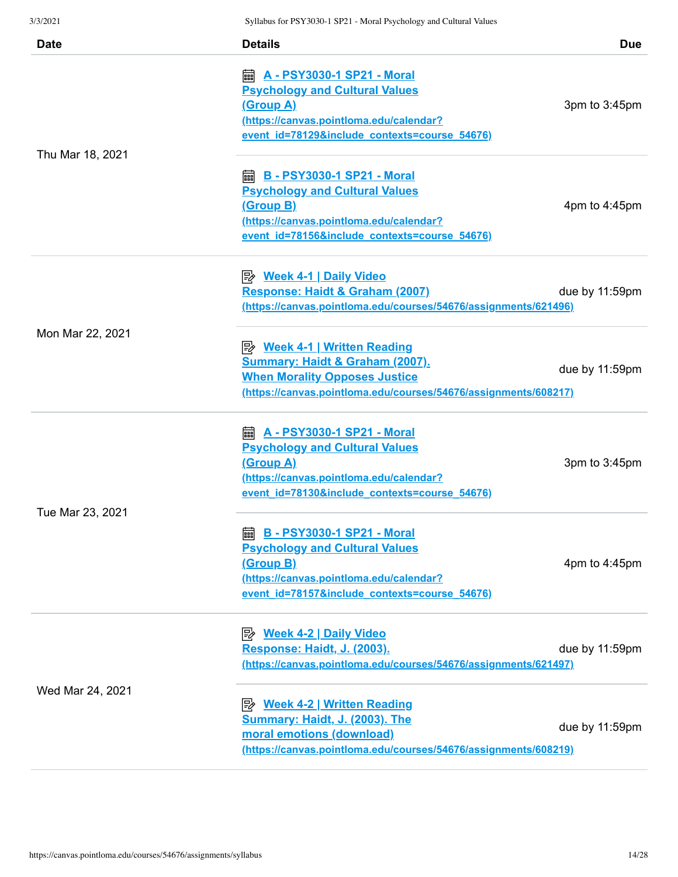| 31 20 2 1        | Synabus for PS 1 5050-1 SPZ1 - Moral Psychology and Cultural Values                                                                                                                          |                   |
|------------------|----------------------------------------------------------------------------------------------------------------------------------------------------------------------------------------------|-------------------|
| <b>Date</b>      | <b>Details</b>                                                                                                                                                                               | Due               |
| Thu Mar 18, 2021 | <b>Psychology and Cultural Values</b><br>(Group A)<br>(https://canvas.pointloma.edu/calendar?<br>event id=78129&include contexts=course 54676)                                               | 3pm to 3:45pm     |
|                  | <b> B - PSY3030-1 SP21 - Moral</b><br><b>Psychology and Cultural Values</b><br><u>(Group B)</u><br>(https://canvas.pointloma.edu/calendar?<br>event id=78156&include contexts=course 54676)  | 4pm to 4:45pm     |
|                  | <u>≫ Week 4-1   Daily Video</u><br>Response: Haidt & Graham (2007)<br>(https://canvas.pointloma.edu/courses/54676/assignments/621496)                                                        | due by 11:59pm    |
| Mon Mar 22, 2021 | <b>Week 4-1   Written Reading</b><br><b>Summary: Haidt &amp; Graham (2007).</b><br><b>When Morality Opposes Justice</b><br>(https://canvas.pointloma.edu/courses/54676/assignments/608217)   | due by $11:59$ pm |
| Tue Mar 23, 2021 | <b>A - PSY3030-1 SP21 - Moral</b><br>翩<br><b>Psychology and Cultural Values</b><br>(Group A)<br>(https://canvas.pointloma.edu/calendar?<br>event id=78130&include contexts=course 54676)     | 3pm to 3:45pm     |
|                  | <b>A</b> B - PSY3030-1 SP21 - Moral<br><b>Psychology and Cultural Values</b><br><u>(Group B)</u><br>(https://canvas.pointloma.edu/calendar?<br>event id=78157&include contexts=course 54676) | 4pm to 4:45pm     |
| Wed Mar 24, 2021 | Response: Haidt, J. (2003).<br>(https://canvas.pointloma.edu/courses/54676/assignments/621497)                                                                                               | due by 11:59pm    |
|                  | <b>B</b> Week 4-2   Written Reading<br><b>Summary: Haidt, J. (2003). The</b><br>moral emotions (download)<br>(https://canvas.pointloma.edu/courses/54676/assignments/608219)                 | due by 11:59pm    |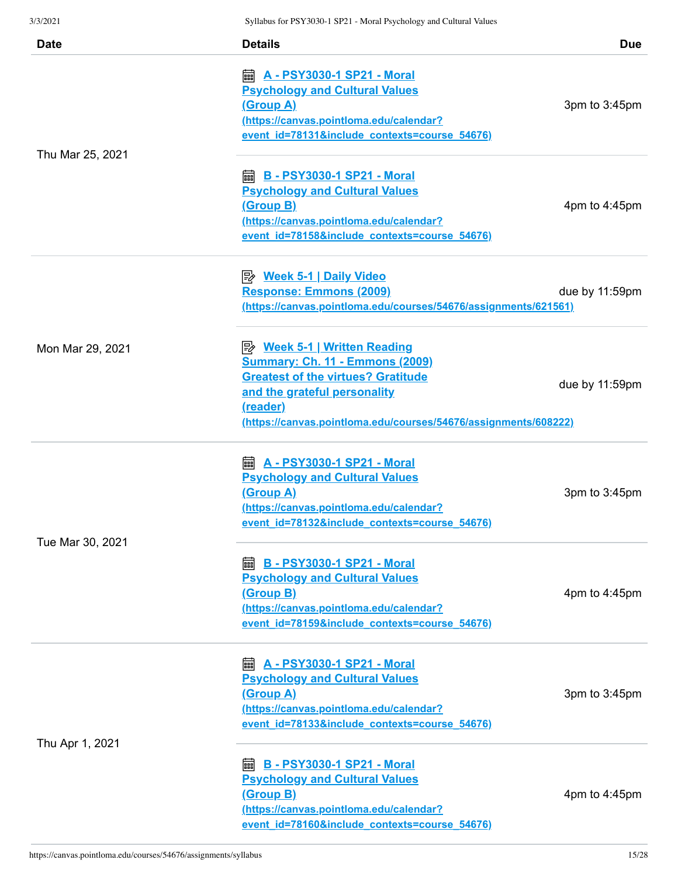| 3/3/2021         | Syllabus for PSY3030-1 SP21 - Moral Psychology and Cultural Values                       |                   |
|------------------|------------------------------------------------------------------------------------------|-------------------|
| <b>Date</b>      | <b>Details</b>                                                                           | <b>Due</b>        |
|                  | <b>A</b> - PSY3030-1 SP21 - Moral                                                        |                   |
|                  | <b>Psychology and Cultural Values</b>                                                    |                   |
|                  | (Group A)                                                                                | 3pm to 3:45pm     |
|                  | (https://canvas.pointloma.edu/calendar?                                                  |                   |
|                  | event id=78131&include contexts=course 54676)                                            |                   |
| Thu Mar 25, 2021 |                                                                                          |                   |
|                  | <b>ADDE: B - PSY3030-1 SP21 - Moral</b>                                                  |                   |
|                  | <b>Psychology and Cultural Values</b>                                                    |                   |
|                  | (Group B)                                                                                | 4pm to 4:45pm     |
|                  | (https://canvas.pointloma.edu/calendar?                                                  |                   |
|                  | event id=78158&include contexts=course 54676)                                            |                   |
|                  |                                                                                          |                   |
|                  |                                                                                          |                   |
|                  | Response: Emmons (2009)                                                                  | due by 11:59pm    |
|                  | (https://canvas.pointloma.edu/courses/54676/assignments/621561)                          |                   |
| Mon Mar 29, 2021 | <b>B</b> Week 5-1   Written Reading                                                      |                   |
|                  | <b>Summary: Ch. 11 - Emmons (2009)</b>                                                   |                   |
|                  | <b>Greatest of the virtues? Gratitude</b>                                                |                   |
|                  | and the grateful personality                                                             | due by $11:59$ pm |
|                  | (reader)                                                                                 |                   |
|                  | (https://canvas.pointloma.edu/courses/54676/assignments/608222)                          |                   |
|                  |                                                                                          |                   |
|                  | <b>A - PSY3030-1 SP21 - Moral</b><br>匾                                                   |                   |
|                  | <b>Psychology and Cultural Values</b><br><u>(Group A)</u>                                | 3pm to 3:45pm     |
|                  | (https://canvas.pointloma.edu/calendar?                                                  |                   |
|                  | event id=78132&include contexts=course 54676)                                            |                   |
| Tue Mar 30, 2021 |                                                                                          |                   |
|                  | <b>as B - PSY3030-1 SP21 - Moral</b>                                                     |                   |
|                  | <b>Psychology and Cultural Values</b>                                                    |                   |
|                  | <u>(Group B)</u>                                                                         | 4pm to 4:45pm     |
|                  | (https://canvas.pointloma.edu/calendar?                                                  |                   |
|                  | event_id=78159&include_contexts=course_54676)                                            |                   |
|                  |                                                                                          |                   |
|                  | <b>A - PSY3030-1 SP21 - Moral</b><br>酾                                                   |                   |
|                  | <b>Psychology and Cultural Values</b>                                                    |                   |
|                  | <u>(Group A)</u>                                                                         | 3pm to 3:45pm     |
|                  | (https://canvas.pointloma.edu/calendar?<br>event id=78133&include contexts=course 54676) |                   |
| Thu Apr 1, 2021  |                                                                                          |                   |
|                  | <b>B - PSY3030-1 SP21 - Moral</b><br>酾                                                   |                   |
|                  | <b>Psychology and Cultural Values</b>                                                    |                   |
|                  | <u>(Group B)</u>                                                                         | 4pm to 4:45pm     |
|                  | (https://canvas.pointloma.edu/calendar?                                                  |                   |
|                  | event id=78160&include contexts=course 54676)                                            |                   |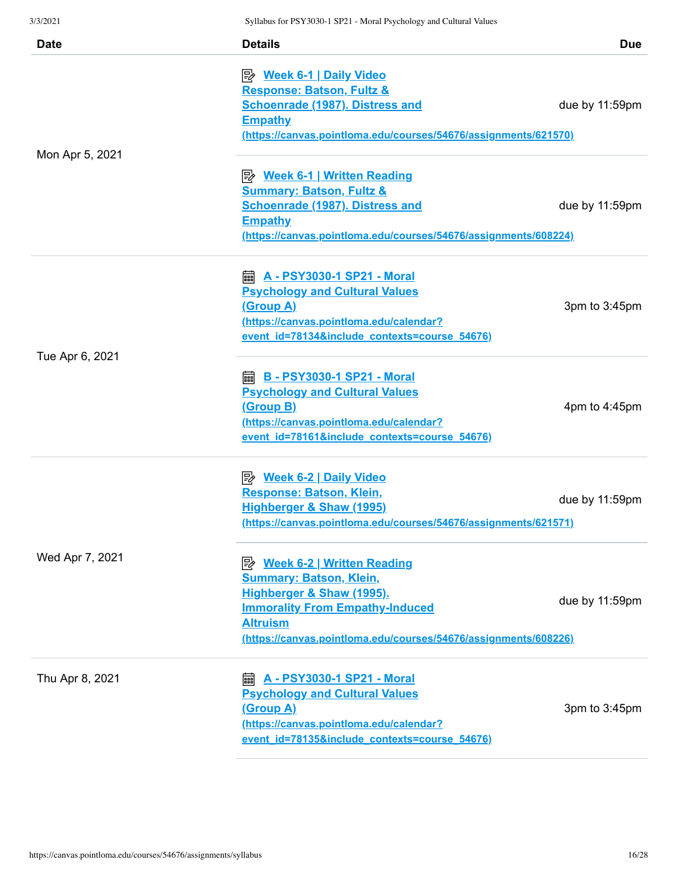| 9/3/2021        | Synabus for PS 1 5050-1 SPZ1 - Moral Psychology and Cultural Values     |                   |
|-----------------|-------------------------------------------------------------------------|-------------------|
| <b>Date</b>     | <b>Details</b>                                                          | Due               |
|                 |                                                                         |                   |
|                 | <u>≫ Week 6-1   Daily Video</u><br><b>Response: Batson, Fultz &amp;</b> |                   |
|                 | <b>Schoenrade (1987). Distress and</b>                                  | due by $11:59$ pm |
|                 | <b>Empathy</b>                                                          |                   |
|                 | (https://canvas.pointloma.edu/courses/54676/assignments/621570)         |                   |
|                 |                                                                         |                   |
| Mon Apr 5, 2021 |                                                                         |                   |
|                 | <u>Week 6-1   Written Reading</u>                                       |                   |
|                 | <b>Summary: Batson, Fultz &amp;</b>                                     |                   |
|                 | <b>Schoenrade (1987). Distress and</b>                                  | due by 11:59pm    |
|                 | <b>Empathy</b>                                                          |                   |
|                 | (https://canvas.pointloma.edu/courses/54676/assignments/608224)         |                   |
|                 | <b>A</b> - PSY3030-1 SP21 - Moral                                       |                   |
|                 | <b>Psychology and Cultural Values</b>                                   |                   |
|                 | (Group A)                                                               | 3pm to 3:45pm     |
|                 | (https://canvas.pointloma.edu/calendar?                                 |                   |
|                 | event id=78134&include contexts=course 54676)                           |                   |
| Tue Apr 6, 2021 |                                                                         |                   |
|                 | <b>A</b> B - PSY3030-1 SP21 - Moral                                     |                   |
|                 | <b>Psychology and Cultural Values</b>                                   |                   |
|                 | <u>(Group B)</u>                                                        | 4pm to 4:45pm     |
|                 | (https://canvas.pointloma.edu/calendar?                                 |                   |
|                 | event id=78161&include contexts=course 54676)                           |                   |
|                 | <u>≫ Week 6-2   Daily Video</u>                                         |                   |
|                 | Response: Batson, Klein,                                                |                   |
|                 | <b>Highberger &amp; Shaw (1995)</b>                                     | due by 11:59pm    |
|                 | (https://canvas.pointloma.edu/courses/54676/assignments/621571)         |                   |
|                 |                                                                         |                   |
| Wed Apr 7, 2021 |                                                                         |                   |
|                 | <b>Summary: Batson, Klein,</b>                                          |                   |
|                 | Highberger & Shaw (1995).                                               |                   |
|                 | <b>Immorality From Empathy-Induced</b>                                  | due by 11:59pm    |
|                 | <b>Altruism</b>                                                         |                   |
|                 | (https://canvas.pointloma.edu/courses/54676/assignments/608226)         |                   |
| Thu Apr 8, 2021 | A - PSY3030-1 SP21 - Moral<br>酾                                         |                   |
|                 | <b>Psychology and Cultural Values</b>                                   |                   |
|                 | <u>(Group A)</u>                                                        | 3pm to 3:45pm     |
|                 | (https://canvas.pointloma.edu/calendar?                                 |                   |
|                 | event id=78135&include contexts=course 54676)                           |                   |
|                 |                                                                         |                   |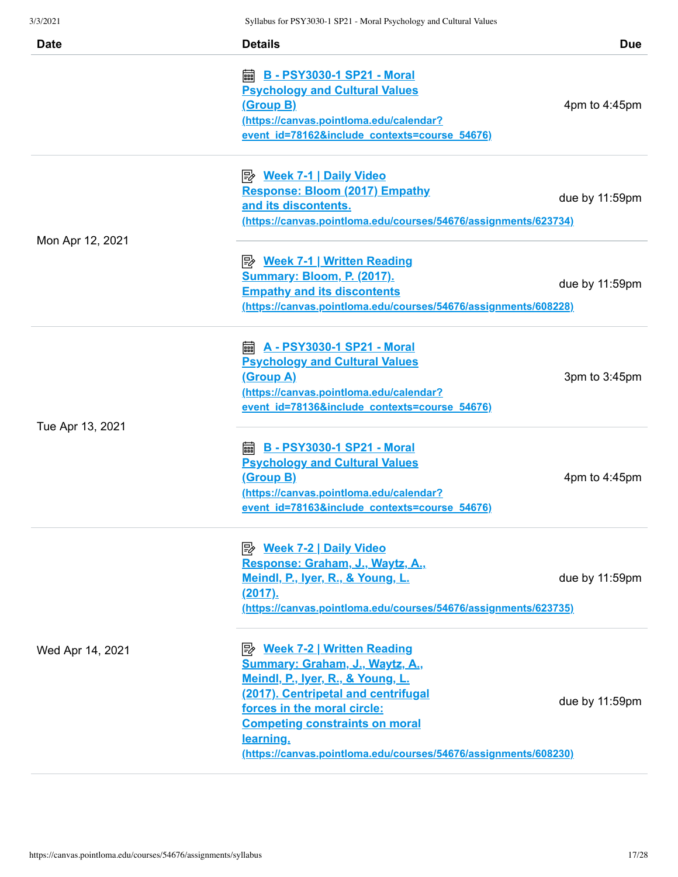| 3/3/2021         | Syliabus for PS Y 3030-1 SP21 - Moral Psychology and Cultural Values |                   |
|------------------|----------------------------------------------------------------------|-------------------|
| <b>Date</b>      | <b>Details</b>                                                       | <b>Due</b>        |
|                  |                                                                      |                   |
|                  | <b>A</b> B - PSY3030-1 SP21 - Moral                                  |                   |
|                  | <b>Psychology and Cultural Values</b>                                |                   |
|                  | <u>(Group B)</u>                                                     | 4pm to 4:45pm     |
|                  | (https://canvas.pointloma.edu/calendar?                              |                   |
|                  | event id=78162&include contexts=course 54676)                        |                   |
|                  |                                                                      |                   |
|                  | <b>Response: Bloom (2017) Empathy</b>                                |                   |
|                  | and its discontents.                                                 | due by 11:59pm    |
|                  | (https://canvas.pointloma.edu/courses/54676/assignments/623734)      |                   |
| Mon Apr 12, 2021 |                                                                      |                   |
|                  | ■ Week 7-1   Written Reading                                         |                   |
|                  | <b>Summary: Bloom, P. (2017).</b>                                    |                   |
|                  | <b>Empathy and its discontents</b>                                   | due by 11:59pm    |
|                  | (https://canvas.pointloma.edu/courses/54676/assignments/608228)      |                   |
|                  |                                                                      |                   |
|                  | <b>a</b> A - PSY3030-1 SP21 - Moral                                  |                   |
|                  | <b>Psychology and Cultural Values</b>                                |                   |
|                  | <u>(Group A)</u>                                                     | 3pm to 3:45pm     |
|                  | (https://canvas.pointloma.edu/calendar?                              |                   |
| Tue Apr 13, 2021 | event id=78136&include contexts=course 54676)                        |                   |
|                  | <b>A</b> B - PSY3030-1 SP21 - Moral                                  |                   |
|                  |                                                                      |                   |
|                  | <b>Psychology and Cultural Values</b>                                |                   |
|                  | <u>(Group B)</u>                                                     | 4pm to $4:45$ pm  |
|                  | (https://canvas.pointloma.edu/calendar?                              |                   |
|                  | event id=78163&include contexts=course 54676)                        |                   |
|                  | <u> <i>Week 7-2</i>   Daily Video</u>                                |                   |
|                  | Response: Graham, J., Waytz, A.,                                     |                   |
|                  | Meindl, P., Iyer, R., & Young, L.                                    | due by 11:59pm    |
|                  | (2017).                                                              |                   |
|                  | (https://canvas.pointloma.edu/courses/54676/assignments/623735)      |                   |
|                  |                                                                      |                   |
| Wed Apr 14, 2021 | <b>B</b> Week 7-2   Written Reading                                  |                   |
|                  | Summary: Graham, J., Waytz, A.,                                      |                   |
|                  | Meindl, P., Iyer, R., & Young, L.                                    |                   |
|                  | (2017). Centripetal and centrifugal                                  | due by $11:59$ pm |
|                  | forces in the moral circle:                                          |                   |
|                  | <b>Competing constraints on moral</b>                                |                   |
|                  | learning.                                                            |                   |
|                  | (https://canvas.pointloma.edu/courses/54676/assignments/608230)      |                   |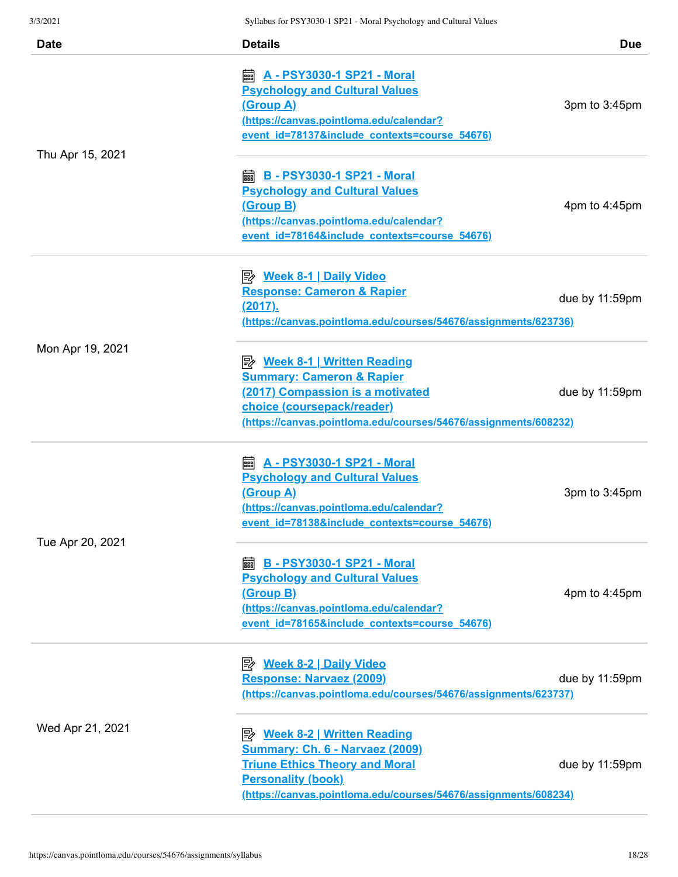| <b>Date</b>      | <b>Details</b>                                                                                                                                                                                                 | <b>Due</b>       |
|------------------|----------------------------------------------------------------------------------------------------------------------------------------------------------------------------------------------------------------|------------------|
| Thu Apr 15, 2021 | <b>A</b> - PSY3030-1 SP21 - Moral<br><b>Psychology and Cultural Values</b><br><u>(Group A)</u><br>(https://canvas.pointloma.edu/calendar?<br>event id=78137&include contexts=course 54676)                     | 3pm to 3:45pm    |
|                  | <b>as B - PSY3030-1 SP21 - Moral</b><br><b>Psychology and Cultural Values</b><br>(Group B)<br>(https://canvas.pointloma.edu/calendar?<br>event_id=78164&include_contexts=course_54676)                         | 4pm to $4:45$ pm |
|                  | <u>≫ Week 8-1   Daily Video</u><br><b>Response: Cameron &amp; Rapier</b><br><u>(2017).</u><br>(https://canvas.pointloma.edu/courses/54676/assignments/623736)                                                  | due by 11:59pm   |
| Mon Apr 19, 2021 | <u>Week 8-1   Written Reading</u><br><b>Summary: Cameron &amp; Rapier</b><br>(2017) Compassion is a motivated<br>choice (coursepack/reader)<br>(https://canvas.pointloma.edu/courses/54676/assignments/608232) | due by 11:59pm   |
| Tue Apr 20, 2021 | <b>A - PSY3030-1 SP21 - Moral</b><br>翩<br><b>Psychology and Cultural Values</b><br>(Group A)<br>(https://canvas.pointloma.edu/calendar?<br>event_id=78138&include_contexts=course_54676)                       | 3pm to 3:45pm    |
|                  | <b>ADDE: B - PSY3030-1 SP21 - Moral</b><br><b>Psychology and Cultural Values</b><br>(Group B)<br>(https://canvas.pointloma.edu/calendar?<br>event id=78165&include contexts=course 54676)                      | 4pm to 4:45pm    |
|                  | Response: Narvaez (2009)<br>(https://canvas.pointloma.edu/courses/54676/assignments/623737)                                                                                                                    | due by 11:59pm   |
| Wed Apr 21, 2021 | Summary: Ch. 6 - Narvaez (2009)<br><b>Triune Ethics Theory and Moral</b><br><b>Personality (book)</b><br>(https://canvas.pointloma.edu/courses/54676/assignments/608234)                                       | due by 11:59pm   |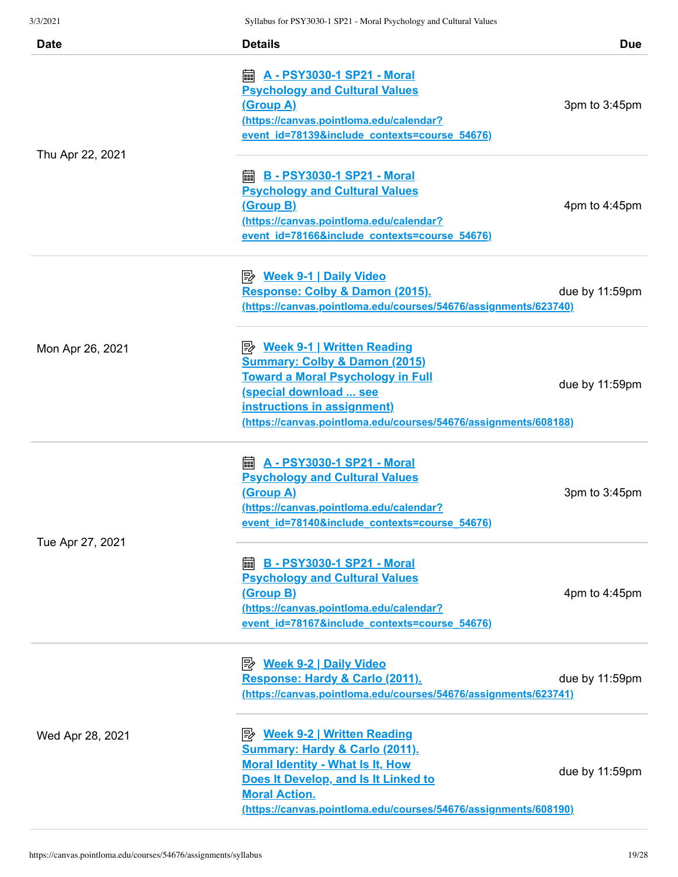| <i>31 31 4</i> 9 4 1 | $\beta$ ynabus for 1 $\beta$ 1 5050-1 $\beta$ 1 $\beta$ 1 - Moral I sychology and Cunural Values |                   |
|----------------------|--------------------------------------------------------------------------------------------------|-------------------|
| <b>Date</b>          | <b>Details</b>                                                                                   | Due               |
|                      |                                                                                                  |                   |
|                      | <u>A - PSY3030-1 SP21 - Moral</u><br>翩                                                           |                   |
|                      | <b>Psychology and Cultural Values</b>                                                            |                   |
|                      | <u>(Group A)</u>                                                                                 | 3pm to 3:45pm     |
|                      | (https://canvas.pointloma.edu/calendar?                                                          |                   |
|                      | event id=78139&include contexts=course 54676)                                                    |                   |
| Thu Apr 22, 2021     |                                                                                                  |                   |
|                      | <b>ADDE: B - PSY3030-1 SP21 - Moral</b>                                                          |                   |
|                      | <b>Psychology and Cultural Values</b>                                                            |                   |
|                      | <u>(Group B)</u>                                                                                 | 4pm to 4:45pm     |
|                      | (https://canvas.pointloma.edu/calendar?                                                          |                   |
|                      | event id=78166&include contexts=course 54676)                                                    |                   |
|                      |                                                                                                  |                   |
|                      | <u>≫ Week 9-1   Daily Video</u>                                                                  |                   |
|                      | Response: Colby & Damon (2015).                                                                  | due by 11:59pm    |
|                      | (https://canvas.pointloma.edu/courses/54676/assignments/623740)                                  |                   |
|                      |                                                                                                  |                   |
|                      |                                                                                                  |                   |
| Mon Apr 26, 2021     | P Week 9-1   Written Reading                                                                     |                   |
|                      | <b>Summary: Colby &amp; Damon (2015)</b><br><b>Toward a Moral Psychology in Full</b>             |                   |
|                      | (special download  see                                                                           | due by $11:59$ pm |
|                      | instructions in assignment)                                                                      |                   |
|                      | (https://canvas.pointloma.edu/courses/54676/assignments/608188)                                  |                   |
|                      |                                                                                                  |                   |
|                      | <u>A - PSY3030-1 SP21 - Moral</u><br>翩                                                           |                   |
|                      | <b>Psychology and Cultural Values</b>                                                            |                   |
|                      | <u>(Group A)</u>                                                                                 | 3pm to 3:45pm     |
|                      | (https://canvas.pointloma.edu/calendar?                                                          |                   |
|                      | event id=78140&include contexts=course 54676)                                                    |                   |
| Tue Apr 27, 2021     |                                                                                                  |                   |
|                      | <b> B</b> - PSY3030-1 SP21 - Moral                                                               |                   |
|                      | <b>Psychology and Cultural Values</b>                                                            |                   |
|                      | (Group B)                                                                                        | 4pm to 4:45pm     |
|                      | (https://canvas.pointloma.edu/calendar?                                                          |                   |
|                      | event_id=78167&include_contexts=course_54676)                                                    |                   |
|                      |                                                                                                  |                   |
|                      |                                                                                                  |                   |
|                      | Response: Hardy & Carlo (2011).                                                                  | due by 11:59pm    |
|                      | (https://canvas.pointloma.edu/courses/54676/assignments/623741)                                  |                   |
|                      |                                                                                                  |                   |
| Wed Apr 28, 2021     |                                                                                                  |                   |
|                      | <b>Summary: Hardy &amp; Carlo (2011).</b>                                                        |                   |
|                      | <b>Moral Identity - What Is It, How</b>                                                          |                   |
|                      | Does It Develop, and Is It Linked to                                                             | due by 11:59pm    |
|                      | <b>Moral Action.</b>                                                                             |                   |
|                      | (https://canvas.pointloma.edu/courses/54676/assignments/608190)                                  |                   |
|                      |                                                                                                  |                   |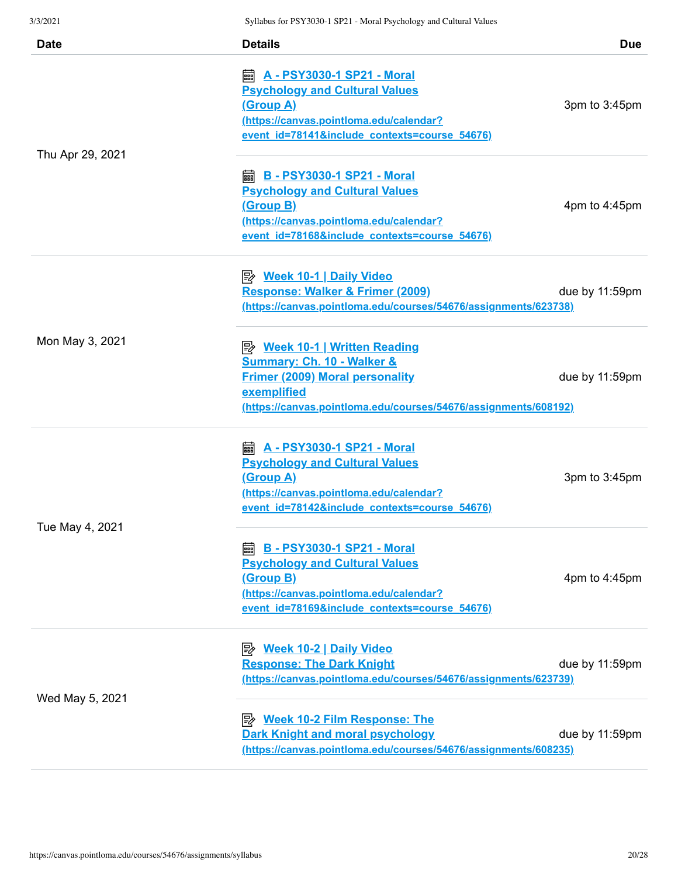| 3/3/2021         | Syllabus for PSY3030-1 SP21 - Moral Psychology and Cultural Values                                                                                                                                 |                  |
|------------------|----------------------------------------------------------------------------------------------------------------------------------------------------------------------------------------------------|------------------|
| <b>Date</b>      | <b>Details</b>                                                                                                                                                                                     | <b>Due</b>       |
|                  | <b>A - PSY3030-1 SP21 - Moral</b><br>翩<br><b>Psychology and Cultural Values</b><br><u>(Group A)</u><br>(https://canvas.pointloma.edu/calendar?<br>event id=78141&include contexts=course 54676)    | 3pm to 3:45pm    |
| Thu Apr 29, 2021 | <b>B - PSY3030-1 SP21 - Moral</b><br>翩<br><b>Psychology and Cultural Values</b><br><u>(Group B)</u><br>(https://canvas.pointloma.edu/calendar?<br>event id=78168&include contexts=course 54676)    | 4pm to $4:45$ pm |
|                  | Response: Walker & Frimer (2009)<br>(https://canvas.pointloma.edu/courses/54676/assignments/623738)                                                                                                | due by 11:59pm   |
| Mon May 3, 2021  | P Week 10-1   Written Reading<br><b>Summary: Ch. 10 - Walker &amp;</b><br><b>Frimer (2009) Moral personality</b><br>exemplified<br>(https://canvas.pointloma.edu/courses/54676/assignments/608192) | due by 11:59pm   |
|                  | <b>A - PSY3030-1 SP21 - Moral</b><br>酾<br><b>Psychology and Cultural Values</b><br><u>(Group A)</u><br>(https://canvas.pointloma.edu/calendar?<br>event_id=78142&include_contexts=course_54676)    | 3pm to 3:45pm    |
| Tue May 4, 2021  | <b> B</b> - PSY3030-1 SP21 - Moral<br><b>Psychology and Cultural Values</b><br><u>(Group B)</u><br>(https://canvas.pointloma.edu/calendar?<br>event_id=78169&include_contexts=course_54676)        | 4pm to $4:45$ pm |
|                  | <b>Response: The Dark Knight</b><br><u>(https://canvas.pointloma.edu/courses/54676/assignments/623739)</u>                                                                                         | due by 11:59pm   |
| Wed May 5, 2021  | <b>B</b> Week 10-2 Film Response: The<br><b>Dark Knight and moral psychology</b><br>(https://canvas.pointloma.edu/courses/54676/assignments/608235)                                                | due by 11:59pm   |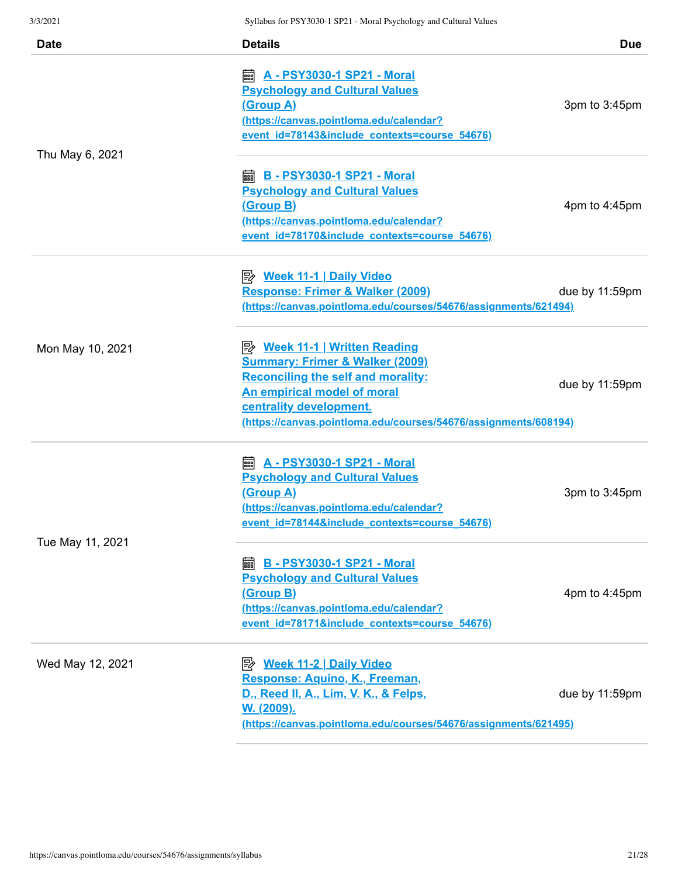| 3/3/2021         | Syllabus for PSY3030-1 SP21 - Moral Psychology and Cultural Values                                                                                                                                                                                         |                  |
|------------------|------------------------------------------------------------------------------------------------------------------------------------------------------------------------------------------------------------------------------------------------------------|------------------|
| <b>Date</b>      | <b>Details</b>                                                                                                                                                                                                                                             | <b>Due</b>       |
|                  | <b>A</b> - PSY3030-1 SP21 - Moral<br><b>Psychology and Cultural Values</b><br><u>(Group A)</u><br>(https://canvas.pointloma.edu/calendar?<br>event id=78143&include contexts=course 54676)                                                                 | 3pm to 3:45pm    |
| Thu May 6, 2021  |                                                                                                                                                                                                                                                            |                  |
|                  | <b>■ B - PSY3030-1 SP21 - Moral</b><br><b>Psychology and Cultural Values</b><br>(Group B)<br>(https://canvas.pointloma.edu/calendar?<br>event id=78170&include contexts=course 54676)                                                                      | 4pm to $4:45$ pm |
|                  | <b>Response: Frimer &amp; Walker (2009)</b><br>(https://canvas.pointloma.edu/courses/54676/assignments/621494)                                                                                                                                             | due by 11:59pm   |
| Mon May 10, 2021 | <u>Week 11-1   Written Reading</u><br><b>Summary: Frimer &amp; Walker (2009)</b><br><b>Reconciling the self and morality:</b><br>An empirical model of moral<br>centrality development.<br>(https://canvas.pointloma.edu/courses/54676/assignments/608194) | due by 11:59pm   |
|                  | <b>A - PSY3030-1 SP21 - Moral</b><br>酾<br><b>Psychology and Cultural Values</b><br><u>(Group A)</u><br>(https://canvas.pointloma.edu/calendar?<br>event id=78144&include contexts=course 54676)                                                            | 3pm to 3:45pm    |
| Tue May 11, 2021 | <b>ADDE: B - PSY3030-1 SP21 - Moral</b><br><b>Psychology and Cultural Values</b><br>(Group B)<br>(https://canvas.pointloma.edu/calendar?<br>event_id=78171&include_contexts=course_54676)                                                                  | 4pm to $4:45$ pm |
| Wed May 12, 2021 | <b>Week 11-2   Daily Video</b><br>眇<br>Response: Aquino, K., Freeman,<br>D., Reed II, A., Lim, V. K., & Felps,<br><u>W. (2009).</u><br>(https://canvas.pointloma.edu/courses/54676/assignments/621495)                                                     | due by 11:59pm   |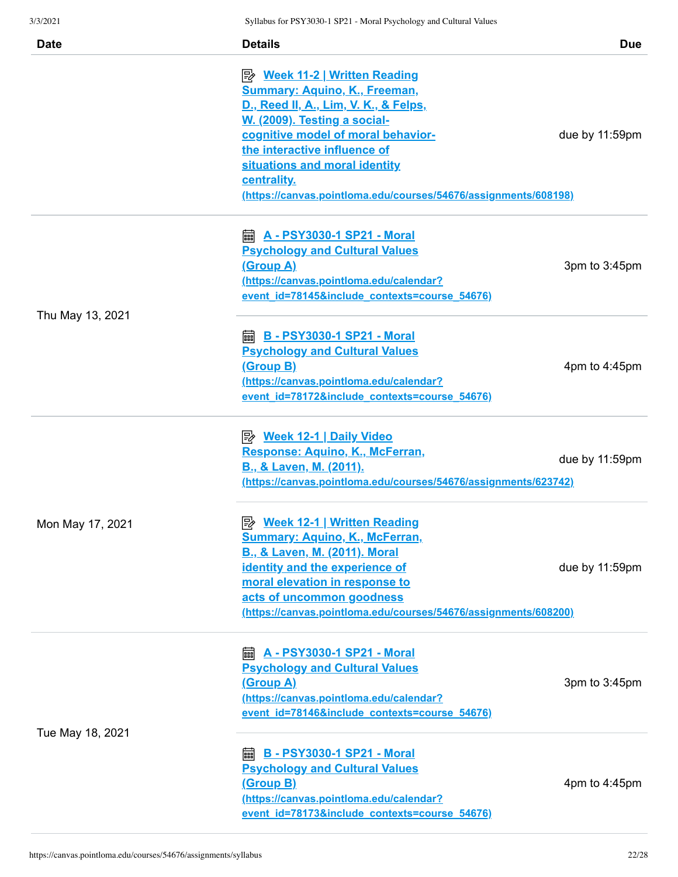| <b>Date</b>      | <b>Details</b>                                                  | <b>Due</b>     |
|------------------|-----------------------------------------------------------------|----------------|
|                  | <u>Week 11-2   Written Reading</u>                              |                |
|                  | <b>Summary: Aquino, K., Freeman,</b>                            |                |
|                  | D., Reed II, A., Lim, V. K., & Felps,                           |                |
|                  | W. (2009). Testing a social-                                    |                |
|                  | cognitive model of moral behavior-                              | due by 11:59pm |
|                  | the interactive influence of                                    |                |
|                  | situations and moral identity                                   |                |
|                  | centrality.                                                     |                |
|                  | (https://canvas.pointloma.edu/courses/54676/assignments/608198) |                |
|                  | <b>A</b> - PSY3030-1 SP21 - Moral                               |                |
|                  | <b>Psychology and Cultural Values</b>                           |                |
|                  | <u>(Group A)</u>                                                | 3pm to 3:45pm  |
|                  | (https://canvas.pointloma.edu/calendar?                         |                |
|                  | event id=78145&include contexts=course 54676)                   |                |
| Thu May 13, 2021 |                                                                 |                |
|                  | <b>ADDEL B - PSY3030-1 SP21 - Moral</b>                         |                |
|                  | <b>Psychology and Cultural Values</b>                           |                |
|                  | <u>(Group B)</u>                                                | 4pm to 4:45pm  |
|                  | (https://canvas.pointloma.edu/calendar?                         |                |
|                  | event id=78172&include contexts=course 54676)                   |                |
|                  | <u> 图 Week 12-1   Daily Video</u>                               |                |
|                  | Response: Aquino, K., McFerran,                                 |                |
|                  | <b>B., &amp; Laven, M. (2011).</b>                              | due by 11:59pm |
|                  | (https://canvas.pointloma.edu/courses/54676/assignments/623742) |                |
|                  |                                                                 |                |
| Mon May 17, 2021 | <b>B</b> Week 12-1   Written Reading                            |                |
|                  | <b>Summary: Aquino, K., McFerran,</b>                           |                |
|                  | <b>B., &amp; Laven, M. (2011). Moral</b>                        |                |
|                  | identity and the experience of                                  | due by 11:59pm |
|                  | moral elevation in response to<br>acts of uncommon goodness     |                |
|                  | (https://canvas.pointloma.edu/courses/54676/assignments/608200) |                |
|                  |                                                                 |                |
|                  | <b>a</b> A - PSY3030-1 SP21 - Moral                             |                |
|                  | <b>Psychology and Cultural Values</b>                           |                |
|                  | <u>(Group A)</u>                                                | 3pm to 3:45pm  |
|                  | (https://canvas.pointloma.edu/calendar?                         |                |
|                  | event id=78146&include contexts=course 54676)                   |                |
| Tue May 18, 2021 |                                                                 |                |
|                  | <b>as B - PSY3030-1 SP21 - Moral</b>                            |                |
|                  | <b>Psychology and Cultural Values</b>                           |                |
|                  | <u>(Group B)</u>                                                | 4pm to 4:45pm  |
|                  | (https://canvas.pointloma.edu/calendar?                         |                |
|                  | event id=78173&include contexts=course 54676)                   |                |
|                  |                                                                 |                |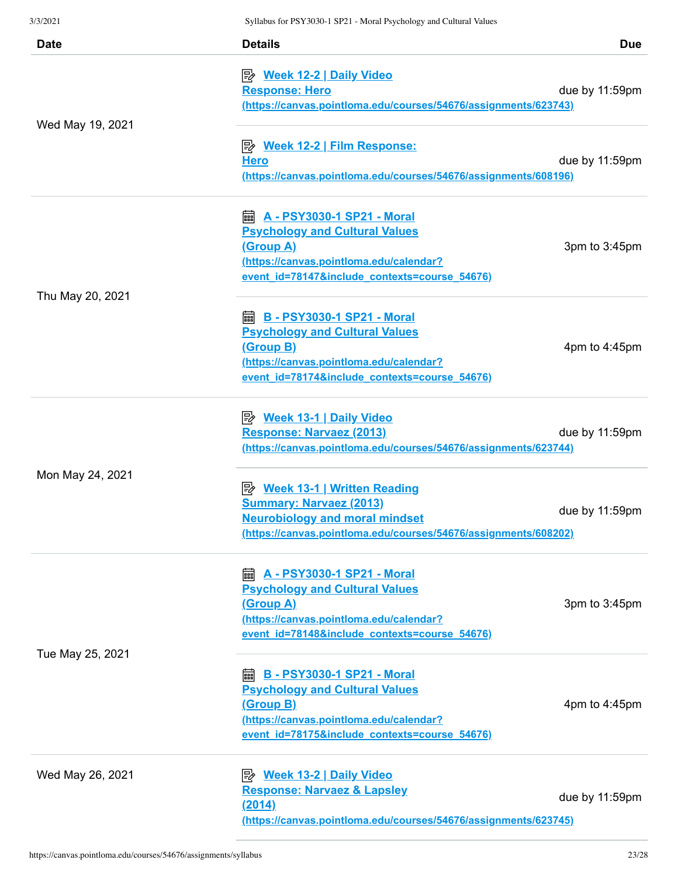| <b>Date</b>      | <b>Details</b>                                                                                                                                                                                  | <b>Due</b>     |
|------------------|-------------------------------------------------------------------------------------------------------------------------------------------------------------------------------------------------|----------------|
| Wed May 19, 2021 | <u>≫ Week 12-2   Daily Video</u><br><b>Response: Hero</b><br>(https://canvas.pointloma.edu/courses/54676/assignments/623743)                                                                    | due by 11:59pm |
|                  | <b>Hero</b><br>(https://canvas.pointloma.edu/courses/54676/assignments/608196)                                                                                                                  | due by 11:59pm |
| Thu May 20, 2021 | <b>Psychology and Cultural Values</b><br><u>(Group A)</u><br>(https://canvas.pointloma.edu/calendar?<br>event id=78147&include contexts=course 54676)                                           | 3pm to 3:45pm  |
|                  | <b>and B - PSY3030-1 SP21 - Moral</b><br><b>Psychology and Cultural Values</b><br><u>(Group B)</u><br>(https://canvas.pointloma.edu/calendar?<br>event id=78174&include contexts=course 54676)  | 4pm to 4:45pm  |
|                  | <b>B</b> Week 13-1   Daily Video<br>Response: Narvaez (2013)<br>(https://canvas.pointloma.edu/courses/54676/assignments/623744)                                                                 | due by 11:59pm |
| Mon May 24, 2021 | <u>≫ Week 13-1   Written Reading</u><br><b>Summary: Narvaez (2013)</b><br><b>Neurobiology and moral mindset</b><br>(https://canvas.pointloma.edu/courses/54676/assignments/608202)              | due by 11:59pm |
|                  | <b>a</b> A - PSY3030-1 SP21 - Moral<br><b>Psychology and Cultural Values</b><br>(Group A)<br>(https://canvas.pointloma.edu/calendar?<br>event_id=78148&include_contexts=course_54676)           | 3pm to 3:45pm  |
| Tue May 25, 2021 | <b>B - PSY3030-1 SP21 - Moral</b><br>酾<br><b>Psychology and Cultural Values</b><br><u>(Group B)</u><br>(https://canvas.pointloma.edu/calendar?<br>event id=78175&include contexts=course 54676) | 4pm to 4:45pm  |
| Wed May 26, 2021 | <b>Response: Narvaez &amp; Lapsley</b><br>(2014)<br>(https://canvas.pointloma.edu/courses/54676/assignments/623745)                                                                             | due by 11:59pm |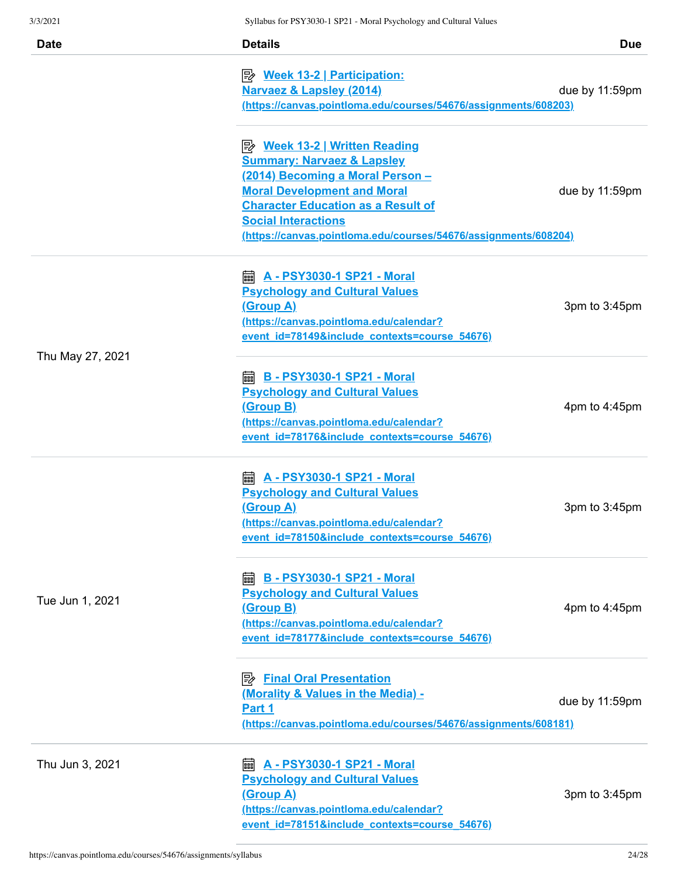|                  | $\beta$ ynabus for 1 $\beta$ 1 5050-1 $\beta$ 1 $\beta$ 1 - iviolai 1 sychology and Cunural Vanues |                |
|------------------|----------------------------------------------------------------------------------------------------|----------------|
| <b>Date</b>      | <b>Details</b>                                                                                     | <b>Due</b>     |
|                  | <b>Week 13-2</b>   Participation:                                                                  |                |
|                  | Narvaez & Lapsley (2014)                                                                           | due by 11:59pm |
|                  | (https://canvas.pointloma.edu/courses/54676/assignments/608203)                                    |                |
|                  | <u>≫ Week 13-2   Written Reading</u>                                                               |                |
|                  | <b>Summary: Narvaez &amp; Lapsley</b>                                                              |                |
|                  | (2014) Becoming a Moral Person -                                                                   |                |
|                  | <b>Moral Development and Moral</b>                                                                 | due by 11:59pm |
|                  | <b>Character Education as a Result of</b>                                                          |                |
|                  | <b>Social Interactions</b>                                                                         |                |
|                  | (https://canvas.pointloma.edu/courses/54676/assignments/608204)                                    |                |
|                  | <b>A</b> - PSY3030-1 SP21 - Moral                                                                  |                |
|                  | <b>Psychology and Cultural Values</b>                                                              |                |
|                  | <u>(Group A)</u>                                                                                   | 3pm to 3:45pm  |
|                  | (https://canvas.pointloma.edu/calendar?                                                            |                |
|                  | event id=78149&include contexts=course 54676)                                                      |                |
| Thu May 27, 2021 |                                                                                                    |                |
|                  | <b>ADDE: B - PSY3030-1 SP21 - Moral</b>                                                            |                |
|                  | <b>Psychology and Cultural Values</b>                                                              |                |
|                  | <u>(Group B)</u>                                                                                   | 4pm to 4:45pm  |
|                  | (https://canvas.pointloma.edu/calendar?                                                            |                |
|                  | event id=78176&include contexts=course 54676)                                                      |                |
|                  | <b>A - PSY3030-1 SP21 - Moral</b><br>酾                                                             |                |
|                  | <b>Psychology and Cultural Values</b>                                                              |                |
|                  | <u>(Group A)</u>                                                                                   | 3pm to 3:45pm  |
|                  | (https://canvas.pointloma.edu/calendar?                                                            |                |
|                  | event id=78150&include contexts=course 54676)                                                      |                |
|                  | <b>B - PSY3030-1 SP21 - Moral</b><br>酾                                                             |                |
|                  | <b>Psychology and Cultural Values</b>                                                              |                |
| Tue Jun 1, 2021  | <u>(Group B)</u>                                                                                   | 4pm to 4:45pm  |
|                  | (https://canvas.pointloma.edu/calendar?                                                            |                |
|                  | event id=78177&include contexts=course 54676)                                                      |                |
|                  | <b>B</b> Final Oral Presentation                                                                   |                |
|                  | (Morality & Values in the Media) -                                                                 |                |
|                  | Part 1                                                                                             | due by 11:59pm |
|                  | (https://canvas.pointloma.edu/courses/54676/assignments/608181)                                    |                |
|                  |                                                                                                    |                |
| Thu Jun 3, 2021  | A - PSY3030-1 SP21 - Moral<br>酾                                                                    |                |
|                  | <b>Psychology and Cultural Values</b><br><u>(Group A)</u>                                          |                |
|                  | (https://canvas.pointloma.edu/calendar?                                                            | 3pm to 3:45pm  |
|                  | event id=78151&include contexts=course 54676)                                                      |                |
|                  |                                                                                                    |                |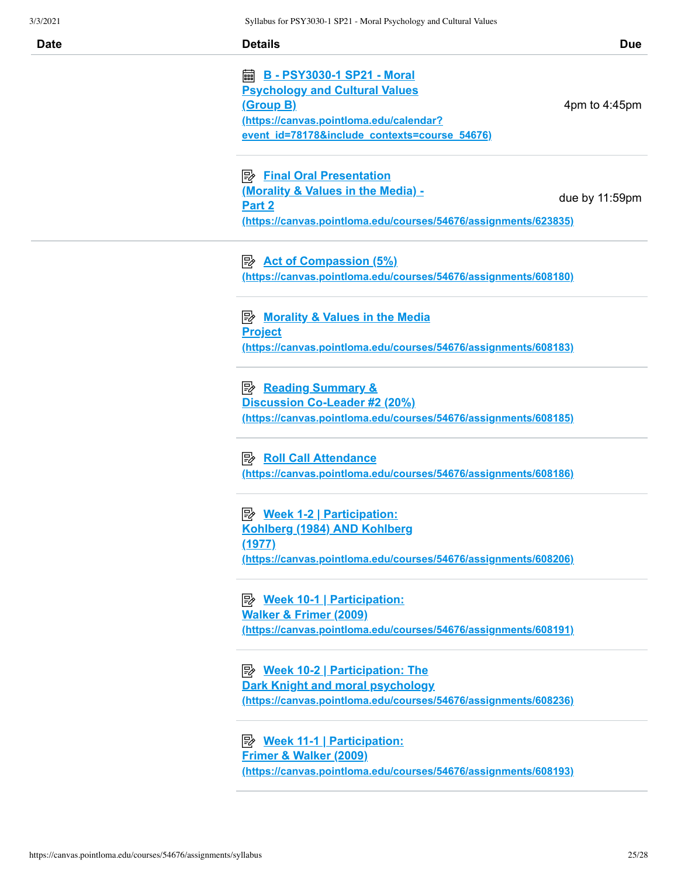| 3/3/2021    | Syllabus for PSY3030-1 SP21 - Moral Psychology and Cultural Values                                                                                                                                               |
|-------------|------------------------------------------------------------------------------------------------------------------------------------------------------------------------------------------------------------------|
| <b>Date</b> | <b>Details</b><br><b>Due</b>                                                                                                                                                                                     |
|             | 翩<br><b>B - PSY3030-1 SP21 - Moral</b><br><b>Psychology and Cultural Values</b><br><u>(Group B)</u><br>4pm to 4:45pm<br>(https://canvas.pointloma.edu/calendar?<br>event id=78178&include contexts=course 54676) |
|             | <b>B</b> Final Oral Presentation<br>(Morality & Values in the Media) -<br>due by 11:59pm<br>Part <sub>2</sub><br>(https://canvas.pointloma.edu/courses/54676/assignments/623835)                                 |
|             | $\Rightarrow$ Act of Compassion (5%)<br>(https://canvas.pointloma.edu/courses/54676/assignments/608180)                                                                                                          |
|             | <b>E</b> Morality & Values in the Media<br><b>Project</b><br>(https://canvas.pointloma.edu/courses/54676/assignments/608183)                                                                                     |
|             | Discussion Co-Leader #2 (20%)<br>(https://canvas.pointloma.edu/courses/54676/assignments/608185)                                                                                                                 |
|             | Roll Call Attendance<br>(https://canvas.pointloma.edu/courses/54676/assignments/608186)                                                                                                                          |
|             | <b>B</b> Week 1-2   Participation:<br>Kohlberg (1984) AND Kohlberg<br>(1977)<br>(https://canvas.pointloma.edu/courses/54676/assignments/608206)                                                                  |
|             | <b>B</b> Week 10-1   Participation:<br><b>Walker &amp; Frimer (2009)</b><br>(https://canvas.pointloma.edu/courses/54676/assignments/608191)                                                                      |
|             | <b>B</b> Week 10-2   Participation: The<br><b>Dark Knight and moral psychology</b><br>(https://canvas.pointloma.edu/courses/54676/assignments/608236)                                                            |
|             | <b>Frimer &amp; Walker (2009)</b><br>(https://canvas.pointloma.edu/courses/54676/assignments/608193)                                                                                                             |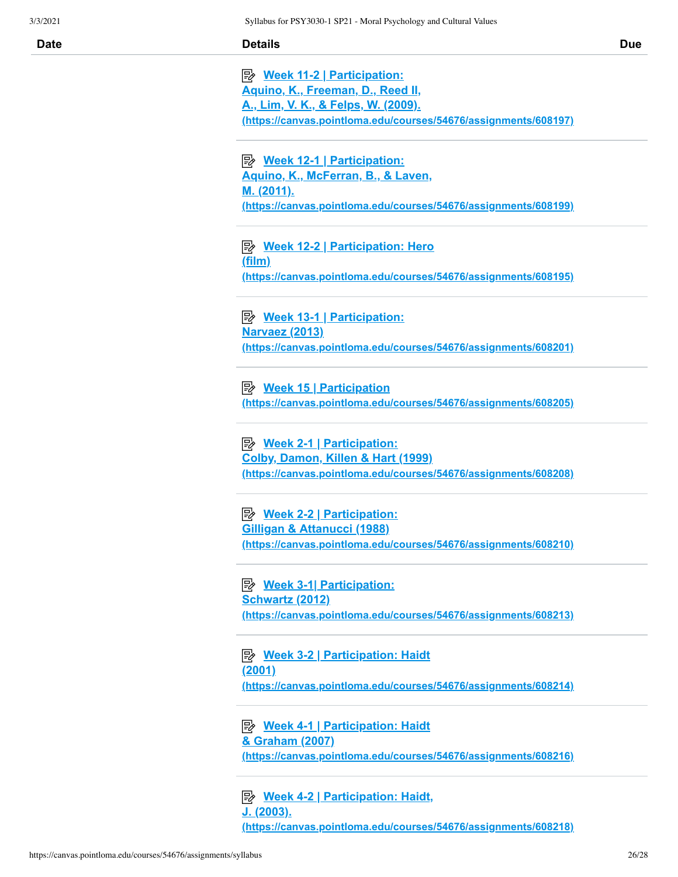| Date | <b>Details</b> | <b>Due</b> |
|------|----------------|------------|
|      |                |            |

 **Week 11-2 | Participation: Aquino, K., Freeman, D., Reed II, A., Lim, V. K., & Felps, W. (2009). [\(https://canvas.pointloma.edu/courses/54676/assignments/608197\)](https://canvas.pointloma.edu/courses/54676/assignments/608197)**

 **Week 12-1 | Participation: Aquino, K., McFerran, B., & Laven, M. (2011). [\(https://canvas.pointloma.edu/courses/54676/assignments/608199\)](https://canvas.pointloma.edu/courses/54676/assignments/608199)**

 **Week 12-2 | Participation: Hero (film) [\(https://canvas.pointloma.edu/courses/54676/assignments/608195\)](https://canvas.pointloma.edu/courses/54676/assignments/608195)**

 **Week 13-1 | Participation: Narvaez (2013) [\(https://canvas.pointloma.edu/courses/54676/assignments/608201\)](https://canvas.pointloma.edu/courses/54676/assignments/608201)**

**Week 15 | Participation [\(https://canvas.pointloma.edu/courses/54676/assignments/608205\)](https://canvas.pointloma.edu/courses/54676/assignments/608205)**

 **Week 2-1 | Participation: Colby, Damon, Killen & Hart (1999) [\(https://canvas.pointloma.edu/courses/54676/assignments/608208\)](https://canvas.pointloma.edu/courses/54676/assignments/608208)**

 **Week 2-2 | Participation: Gilligan & Attanucci (1988) [\(https://canvas.pointloma.edu/courses/54676/assignments/608210\)](https://canvas.pointloma.edu/courses/54676/assignments/608210)**

 **Week 3-1| Participation: Schwartz (2012) [\(https://canvas.pointloma.edu/courses/54676/assignments/608213\)](https://canvas.pointloma.edu/courses/54676/assignments/608213)**

**Ey** Week 3-2 | Participation: Haidt **(2001) [\(https://canvas.pointloma.edu/courses/54676/assignments/608214\)](https://canvas.pointloma.edu/courses/54676/assignments/608214)**

**E** Week 4-1 | Participation: Haidt **& Graham (2007) [\(https://canvas.pointloma.edu/courses/54676/assignments/608216\)](https://canvas.pointloma.edu/courses/54676/assignments/608216)**

 **Week 4-2 | Participation: Haidt, J. (2003). [\(https://canvas.pointloma.edu/courses/54676/assignments/608218\)](https://canvas.pointloma.edu/courses/54676/assignments/608218)**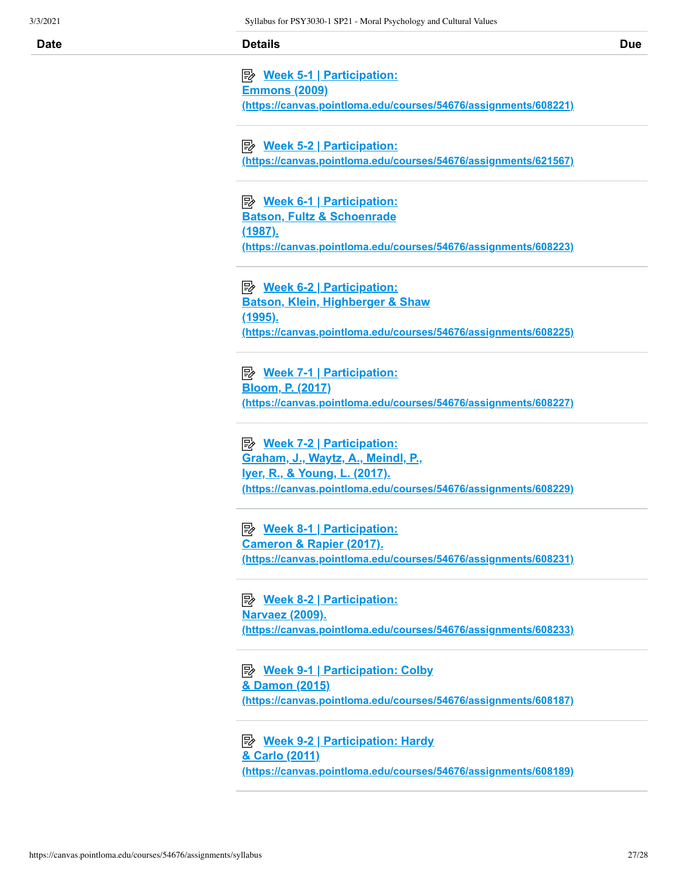| Date | <b>Details</b> | <b>Due</b> |
|------|----------------|------------|
|      |                |            |

| ■ Week 5-1   Participation:                                     |
|-----------------------------------------------------------------|
| <u>Emmons (2009)</u>                                            |
| (https://canvas.pointloma.edu/courses/54676/assignments/608221) |

 **Week 5-2 | Participation: [\(https://canvas.pointloma.edu/courses/54676/assignments/621567\)](https://canvas.pointloma.edu/courses/54676/assignments/621567)**

 **Week 6-1 | Participation: Batson, Fultz & Schoenrade (1987). [\(https://canvas.pointloma.edu/courses/54676/assignments/608223\)](https://canvas.pointloma.edu/courses/54676/assignments/608223)**

 **Week 6-2 | Participation: Batson, Klein, Highberger & Shaw (1995). [\(https://canvas.pointloma.edu/courses/54676/assignments/608225\)](https://canvas.pointloma.edu/courses/54676/assignments/608225)**

 **Week 7-1 | Participation: Bloom, P. (2017) [\(https://canvas.pointloma.edu/courses/54676/assignments/608227\)](https://canvas.pointloma.edu/courses/54676/assignments/608227)**

 **Week 7-2 | Participation: Graham, J., Waytz, A., Meindl, P., Iyer, R., & Young, L. (2017). [\(https://canvas.pointloma.edu/courses/54676/assignments/608229\)](https://canvas.pointloma.edu/courses/54676/assignments/608229)**

 **Week 8-1 | Participation: Cameron & Rapier (2017). [\(https://canvas.pointloma.edu/courses/54676/assignments/608231\)](https://canvas.pointloma.edu/courses/54676/assignments/608231)**

 **Week 8-2 | Participation: Narvaez (2009). [\(https://canvas.pointloma.edu/courses/54676/assignments/608233\)](https://canvas.pointloma.edu/courses/54676/assignments/608233)**

**Ey** Week 9-1 | Participation: Colby **& Damon (2015) [\(https://canvas.pointloma.edu/courses/54676/assignments/608187\)](https://canvas.pointloma.edu/courses/54676/assignments/608187)**

 **Week 9-2 | Participation: Hardy & Carlo (2011) [\(https://canvas.pointloma.edu/courses/54676/assignments/608189\)](https://canvas.pointloma.edu/courses/54676/assignments/608189)**